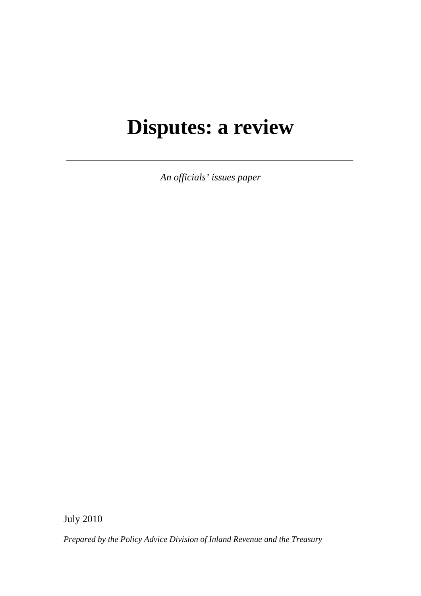# **Disputes: a review**

*An officials' issues paper* 

July 2010

*Prepared by the Policy Advice Division of Inland Revenue and the Treasury*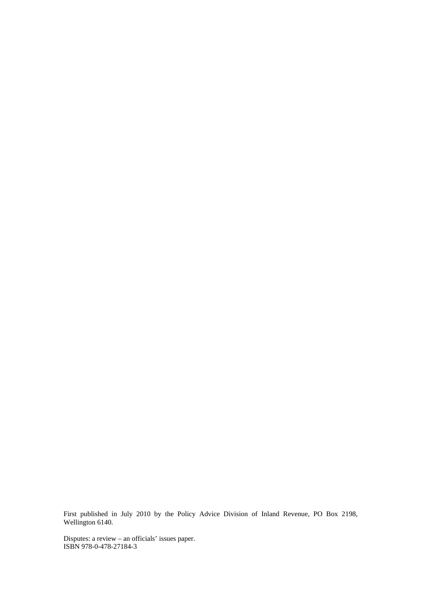First published in July 2010 by the Policy Advice Division of Inland Revenue, PO Box 2198, Wellington 6140.

Disputes: a review – an officials' issues paper. ISBN 978-0-478-27184-3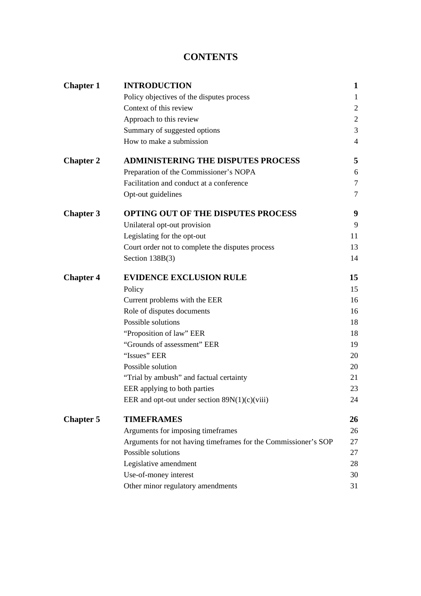# **CONTENTS**

| <b>Chapter 1</b> | <b>INTRODUCTION</b>                                            | 1              |
|------------------|----------------------------------------------------------------|----------------|
|                  | Policy objectives of the disputes process                      | $\mathbf{1}$   |
|                  | Context of this review                                         | $\overline{2}$ |
|                  | Approach to this review                                        | $\mathfrak{2}$ |
|                  | Summary of suggested options                                   | 3              |
|                  | How to make a submission                                       | $\overline{4}$ |
| <b>Chapter 2</b> | <b>ADMINISTERING THE DISPUTES PROCESS</b>                      | 5              |
|                  | Preparation of the Commissioner's NOPA                         | 6              |
|                  | Facilitation and conduct at a conference                       | $\tau$         |
|                  | Opt-out guidelines                                             | 7              |
| <b>Chapter 3</b> | <b>OPTING OUT OF THE DISPUTES PROCESS</b>                      | 9              |
|                  | Unilateral opt-out provision                                   | 9              |
|                  | Legislating for the opt-out                                    | 11             |
|                  | Court order not to complete the disputes process               | 13             |
|                  | Section $138B(3)$                                              | 14             |
| <b>Chapter 4</b> | <b>EVIDENCE EXCLUSION RULE</b>                                 | 15             |
|                  | Policy                                                         | 15             |
|                  | Current problems with the EER                                  | 16             |
|                  | Role of disputes documents                                     | 16             |
|                  | Possible solutions                                             | 18             |
|                  | "Proposition of law" EER                                       | 18             |
|                  | "Grounds of assessment" EER                                    | 19             |
|                  | "Issues" EER                                                   | 20             |
|                  | Possible solution                                              | 20             |
|                  | "Trial by ambush" and factual certainty                        | 21             |
|                  | EER applying to both parties                                   | 23             |
|                  | EER and opt-out under section $89N(1)(c)(viii)$                | 24             |
| <b>Chapter 5</b> | <b>TIMEFRAMES</b>                                              | 26             |
|                  | Arguments for imposing timeframes                              | 26             |
|                  | Arguments for not having timeframes for the Commissioner's SOP | 27             |
|                  | Possible solutions                                             | 27             |
|                  | Legislative amendment                                          | 28             |
|                  | Use-of-money interest                                          | 30             |
|                  | Other minor regulatory amendments                              | 31             |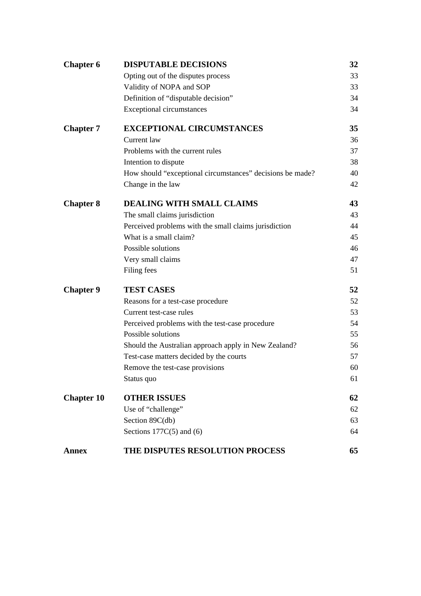| <b>Chapter 6</b>  | <b>DISPUTABLE DECISIONS</b>                               | 32 |
|-------------------|-----------------------------------------------------------|----|
|                   | Opting out of the disputes process                        | 33 |
|                   | Validity of NOPA and SOP                                  | 33 |
|                   | Definition of "disputable decision"                       | 34 |
|                   | <b>Exceptional circumstances</b>                          | 34 |
| <b>Chapter 7</b>  | <b>EXCEPTIONAL CIRCUMSTANCES</b>                          | 35 |
|                   | Current law                                               | 36 |
|                   | Problems with the current rules                           | 37 |
|                   | Intention to dispute                                      | 38 |
|                   | How should "exceptional circumstances" decisions be made? | 40 |
|                   | Change in the law                                         | 42 |
| <b>Chapter 8</b>  | <b>DEALING WITH SMALL CLAIMS</b>                          | 43 |
|                   | The small claims jurisdiction                             | 43 |
|                   | Perceived problems with the small claims jurisdiction     | 44 |
|                   | What is a small claim?                                    | 45 |
|                   | Possible solutions                                        | 46 |
|                   | Very small claims                                         | 47 |
|                   | Filing fees                                               | 51 |
| <b>Chapter 9</b>  | <b>TEST CASES</b>                                         | 52 |
|                   | Reasons for a test-case procedure                         | 52 |
|                   | Current test-case rules                                   | 53 |
|                   | Perceived problems with the test-case procedure           | 54 |
|                   | Possible solutions                                        | 55 |
|                   | Should the Australian approach apply in New Zealand?      | 56 |
|                   | Test-case matters decided by the courts                   | 57 |
|                   | Remove the test-case provisions                           | 60 |
|                   | Status quo                                                | 61 |
| <b>Chapter 10</b> | <b>OTHER ISSUES</b>                                       | 62 |
|                   | Use of "challenge"                                        | 62 |
|                   | Section 89C(db)                                           | 63 |
|                   | Sections $177C(5)$ and (6)                                | 64 |
| <b>Annex</b>      | THE DISPUTES RESOLUTION PROCESS                           | 65 |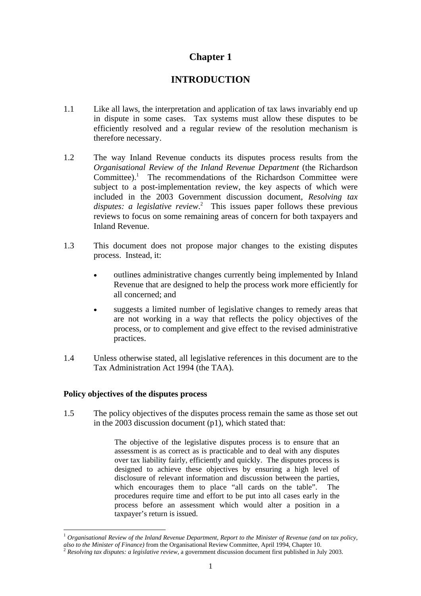# **Chapter 1**

# **INTRODUCTION**

- 1.1 Like all laws, the interpretation and application of tax laws invariably end up in dispute in some cases. Tax systems must allow these disputes to be efficiently resolved and a regular review of the resolution mechanism is therefore necessary.
- 1.2 The way Inland Revenue conducts its disputes process results from the *Organisational Review of the Inland Revenue Department* (the Richardson Committee).<sup>1</sup> The recommendations of the Richardson Committee were subject to a post-implementation review, the key aspects of which were included in the 2003 Government discussion document, *Resolving tax disputes: a legislative review*. 2 This issues paper follows these previous reviews to focus on some remaining areas of concern for both taxpayers and Inland Revenue.
- 1.3 This document does not propose major changes to the existing disputes process. Instead, it:
	- outlines administrative changes currently being implemented by Inland Revenue that are designed to help the process work more efficiently for all concerned; and
	- suggests a limited number of legislative changes to remedy areas that are not working in a way that reflects the policy objectives of the process, or to complement and give effect to the revised administrative practices.
- 1.4 Unless otherwise stated, all legislative references in this document are to the Tax Administration Act 1994 (the TAA).

## **Policy objectives of the disputes process**

 $\overline{a}$ 

1.5 The policy objectives of the disputes process remain the same as those set out in the 2003 discussion document (p1), which stated that:

> The objective of the legislative disputes process is to ensure that an assessment is as correct as is practicable and to deal with any disputes over tax liability fairly, efficiently and quickly. The disputes process is designed to achieve these objectives by ensuring a high level of disclosure of relevant information and discussion between the parties, which encourages them to place "all cards on the table". The procedures require time and effort to be put into all cases early in the process before an assessment which would alter a position in a taxpayer's return is issued.

<sup>1</sup> *Organisational Review of the Inland Revenue Department, Report to the Minister of Revenue (and on tax policy, also to the Minister of Finance*) from the Organisational Review Committee, April 1994, Chapter 10. <sup>2</sup> *Resolving tax disputes: a legislative review*, a government discussion document first published in July 2003.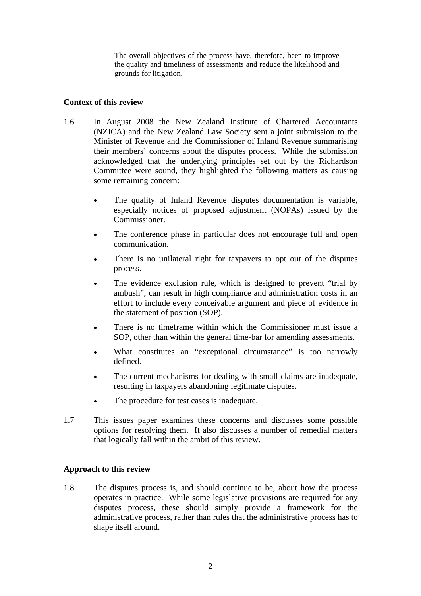The overall objectives of the process have, therefore, been to improve the quality and timeliness of assessments and reduce the likelihood and grounds for litigation.

## **Context of this review**

- 1.6 In August 2008 the New Zealand Institute of Chartered Accountants (NZICA) and the New Zealand Law Society sent a joint submission to the Minister of Revenue and the Commissioner of Inland Revenue summarising their members' concerns about the disputes process. While the submission acknowledged that the underlying principles set out by the Richardson Committee were sound, they highlighted the following matters as causing some remaining concern:
	- The quality of Inland Revenue disputes documentation is variable, especially notices of proposed adjustment (NOPAs) issued by the Commissioner.
	- The conference phase in particular does not encourage full and open communication.
	- There is no unilateral right for taxpayers to opt out of the disputes process.
	- The evidence exclusion rule, which is designed to prevent "trial by ambush", can result in high compliance and administration costs in an effort to include every conceivable argument and piece of evidence in the statement of position (SOP).
	- There is no timeframe within which the Commissioner must issue a SOP, other than within the general time-bar for amending assessments.
	- What constitutes an "exceptional circumstance" is too narrowly defined.
	- The current mechanisms for dealing with small claims are inadequate, resulting in taxpayers abandoning legitimate disputes.
	- The procedure for test cases is inadequate.
- 1.7 This issues paper examines these concerns and discusses some possible options for resolving them. It also discusses a number of remedial matters that logically fall within the ambit of this review.

#### **Approach to this review**

1.8 The disputes process is, and should continue to be, about how the process operates in practice. While some legislative provisions are required for any disputes process, these should simply provide a framework for the administrative process, rather than rules that the administrative process has to shape itself around.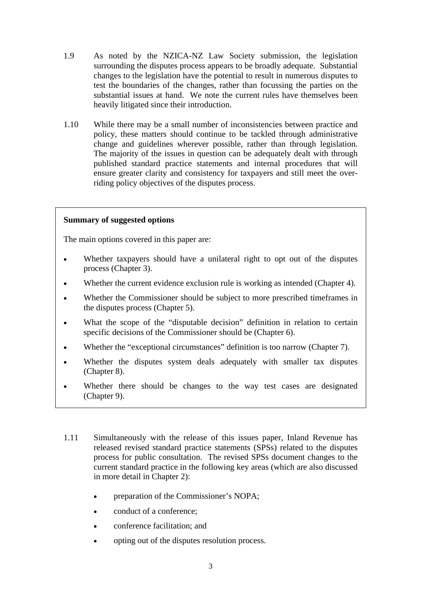- 1.9 As noted by the NZICA-NZ Law Society submission, the legislation surrounding the disputes process appears to be broadly adequate. Substantial changes to the legislation have the potential to result in numerous disputes to test the boundaries of the changes, rather than focussing the parties on the substantial issues at hand. We note the current rules have themselves been heavily litigated since their introduction.
- 1.10 While there may be a small number of inconsistencies between practice and policy, these matters should continue to be tackled through administrative change and guidelines wherever possible, rather than through legislation. The majority of the issues in question can be adequately dealt with through published standard practice statements and internal procedures that will ensure greater clarity and consistency for taxpayers and still meet the overriding policy objectives of the disputes process.

# **Summary of suggested options**

The main options covered in this paper are:

- Whether taxpayers should have a unilateral right to opt out of the disputes process (Chapter 3).
- Whether the current evidence exclusion rule is working as intended (Chapter 4).
- Whether the Commissioner should be subject to more prescribed timeframes in the disputes process (Chapter 5).
- What the scope of the "disputable decision" definition in relation to certain specific decisions of the Commissioner should be (Chapter 6).
- Whether the "exceptional circumstances" definition is too narrow (Chapter 7).
- Whether the disputes system deals adequately with smaller tax disputes (Chapter 8).
- Whether there should be changes to the way test cases are designated (Chapter 9).
- 1.11 Simultaneously with the release of this issues paper, Inland Revenue has released revised standard practice statements (SPSs) related to the disputes process for public consultation. The revised SPSs document changes to the current standard practice in the following key areas (which are also discussed in more detail in Chapter 2):
	- preparation of the Commissioner's NOPA;
	- conduct of a conference;
	- conference facilitation; and
	- opting out of the disputes resolution process.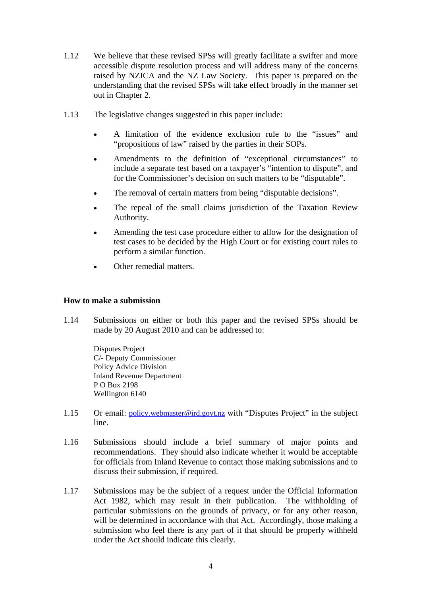- 1.12 We believe that these revised SPSs will greatly facilitate a swifter and more accessible dispute resolution process and will address many of the concerns raised by NZICA and the NZ Law Society. This paper is prepared on the understanding that the revised SPSs will take effect broadly in the manner set out in Chapter 2.
- 1.13 The legislative changes suggested in this paper include:
	- A limitation of the evidence exclusion rule to the "issues" and "propositions of law" raised by the parties in their SOPs.
	- Amendments to the definition of "exceptional circumstances" to include a separate test based on a taxpayer's "intention to dispute", and for the Commissioner's decision on such matters to be "disputable".
	- The removal of certain matters from being "disputable decisions".
	- The repeal of the small claims jurisdiction of the Taxation Review Authority.
	- Amending the test case procedure either to allow for the designation of test cases to be decided by the High Court or for existing court rules to perform a similar function.
	- Other remedial matters.

## **How to make a submission**

1.14 Submissions on either or both this paper and the revised SPSs should be made by 20 August 2010 and can be addressed to:

> Disputes Project C/- Deputy Commissioner Policy Advice Division Inland Revenue Department P O Box 2198 Wellington 6140

- 1.15 Or email: policy.webmaster@ird.govt.nz with "Disputes Project" in the subject line.
- 1.16 Submissions should include a brief summary of major points and recommendations. They should also indicate whether it would be acceptable for officials from Inland Revenue to contact those making submissions and to discuss their submission, if required.
- 1.17 Submissions may be the subject of a request under the Official Information Act 1982, which may result in their publication. The withholding of particular submissions on the grounds of privacy, or for any other reason, will be determined in accordance with that Act. Accordingly, those making a submission who feel there is any part of it that should be properly withheld under the Act should indicate this clearly.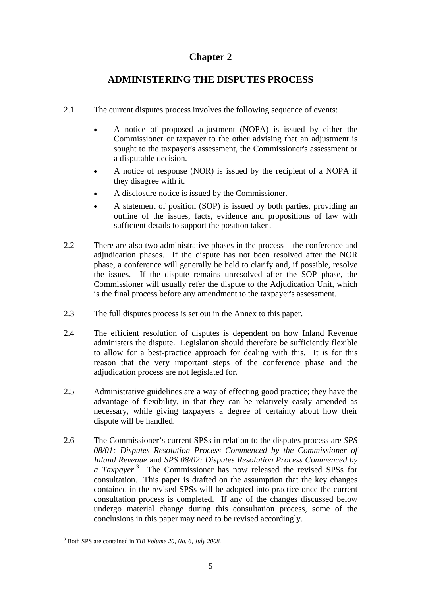# **Chapter 2**

# **ADMINISTERING THE DISPUTES PROCESS**

- 2.1 The current disputes process involves the following sequence of events:
	- A notice of proposed adjustment (NOPA) is issued by either the Commissioner or taxpayer to the other advising that an adjustment is sought to the taxpayer's assessment, the Commissioner's assessment or a disputable decision.
	- A notice of response (NOR) is issued by the recipient of a NOPA if they disagree with it.
	- A disclosure notice is issued by the Commissioner.
	- A statement of position (SOP) is issued by both parties, providing an outline of the issues, facts, evidence and propositions of law with sufficient details to support the position taken.
- 2.2 There are also two administrative phases in the process the conference and adjudication phases. If the dispute has not been resolved after the NOR phase, a conference will generally be held to clarify and, if possible, resolve the issues. If the dispute remains unresolved after the SOP phase, the Commissioner will usually refer the dispute to the Adjudication Unit, which is the final process before any amendment to the taxpayer's assessment.
- 2.3 The full disputes process is set out in the Annex to this paper.
- 2.4 The efficient resolution of disputes is dependent on how Inland Revenue administers the dispute. Legislation should therefore be sufficiently flexible to allow for a best-practice approach for dealing with this. It is for this reason that the very important steps of the conference phase and the adjudication process are not legislated for.
- 2.5 Administrative guidelines are a way of effecting good practice; they have the advantage of flexibility, in that they can be relatively easily amended as necessary, while giving taxpayers a degree of certainty about how their dispute will be handled.
- 2.6 The Commissioner's current SPSs in relation to the disputes process are *SPS 08/01: Disputes Resolution Process Commenced by the Commissioner of Inland Revenue* and *SPS 08/02: Disputes Resolution Process Commenced by*  a Taxpayer.<sup>3</sup> The Commissioner has now released the revised SPSs for consultation. This paper is drafted on the assumption that the key changes contained in the revised SPSs will be adopted into practice once the current consultation process is completed. If any of the changes discussed below undergo material change during this consultation process, some of the conclusions in this paper may need to be revised accordingly.

 3 Both SPS are contained in *TIB Volume 20, No. 6, July 2008.*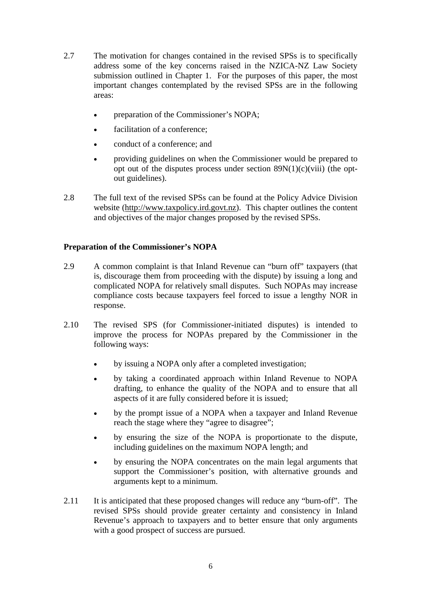- 2.7 The motivation for changes contained in the revised SPSs is to specifically address some of the key concerns raised in the NZICA-NZ Law Society submission outlined in Chapter 1. For the purposes of this paper, the most important changes contemplated by the revised SPSs are in the following areas:
	- preparation of the Commissioner's NOPA;
	- facilitation of a conference:
	- conduct of a conference; and
	- providing guidelines on when the Commissioner would be prepared to opt out of the disputes process under section  $89N(1)(c)(viii)$  (the optout guidelines).
- 2.8 The full text of the revised SPSs can be found at the Policy Advice Division website (http://www.taxpolicy.ird.govt.nz). This chapter outlines the content and objectives of the major changes proposed by the revised SPSs.

# **Preparation of the Commissioner's NOPA**

- 2.9 A common complaint is that Inland Revenue can "burn off" taxpayers (that is, discourage them from proceeding with the dispute) by issuing a long and complicated NOPA for relatively small disputes. Such NOPAs may increase compliance costs because taxpayers feel forced to issue a lengthy NOR in response.
- 2.10 The revised SPS (for Commissioner-initiated disputes) is intended to improve the process for NOPAs prepared by the Commissioner in the following ways:
	- by issuing a NOPA only after a completed investigation;
	- by taking a coordinated approach within Inland Revenue to NOPA drafting, to enhance the quality of the NOPA and to ensure that all aspects of it are fully considered before it is issued;
	- by the prompt issue of a NOPA when a taxpayer and Inland Revenue reach the stage where they "agree to disagree";
	- by ensuring the size of the NOPA is proportionate to the dispute, including guidelines on the maximum NOPA length; and
	- by ensuring the NOPA concentrates on the main legal arguments that support the Commissioner's position, with alternative grounds and arguments kept to a minimum.
- 2.11 It is anticipated that these proposed changes will reduce any "burn-off". The revised SPSs should provide greater certainty and consistency in Inland Revenue's approach to taxpayers and to better ensure that only arguments with a good prospect of success are pursued.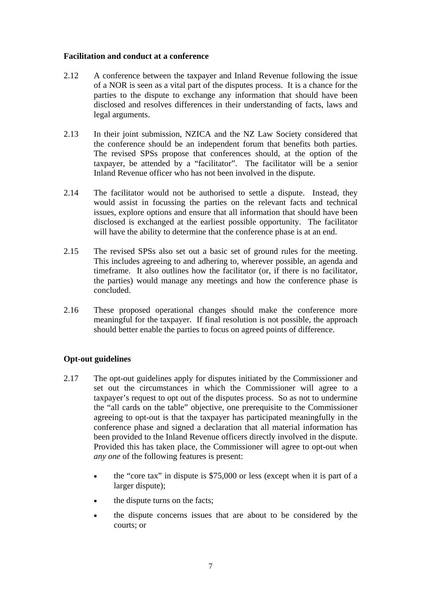## **Facilitation and conduct at a conference**

- 2.12 A conference between the taxpayer and Inland Revenue following the issue of a NOR is seen as a vital part of the disputes process. It is a chance for the parties to the dispute to exchange any information that should have been disclosed and resolves differences in their understanding of facts, laws and legal arguments.
- 2.13 In their joint submission, NZICA and the NZ Law Society considered that the conference should be an independent forum that benefits both parties. The revised SPSs propose that conferences should, at the option of the taxpayer, be attended by a "facilitator". The facilitator will be a senior Inland Revenue officer who has not been involved in the dispute.
- 2.14 The facilitator would not be authorised to settle a dispute. Instead, they would assist in focussing the parties on the relevant facts and technical issues, explore options and ensure that all information that should have been disclosed is exchanged at the earliest possible opportunity. The facilitator will have the ability to determine that the conference phase is at an end.
- 2.15 The revised SPSs also set out a basic set of ground rules for the meeting. This includes agreeing to and adhering to, wherever possible, an agenda and timeframe. It also outlines how the facilitator (or, if there is no facilitator, the parties) would manage any meetings and how the conference phase is concluded.
- 2.16 These proposed operational changes should make the conference more meaningful for the taxpayer. If final resolution is not possible, the approach should better enable the parties to focus on agreed points of difference.

# **Opt-out guidelines**

- 2.17 The opt-out guidelines apply for disputes initiated by the Commissioner and set out the circumstances in which the Commissioner will agree to a taxpayer's request to opt out of the disputes process. So as not to undermine the "all cards on the table" objective, one prerequisite to the Commissioner agreeing to opt-out is that the taxpayer has participated meaningfully in the conference phase and signed a declaration that all material information has been provided to the Inland Revenue officers directly involved in the dispute. Provided this has taken place, the Commissioner will agree to opt-out when *any one* of the following features is present:
	- the "core tax" in dispute is \$75,000 or less (except when it is part of a larger dispute);
	- the dispute turns on the facts:
	- the dispute concerns issues that are about to be considered by the courts; or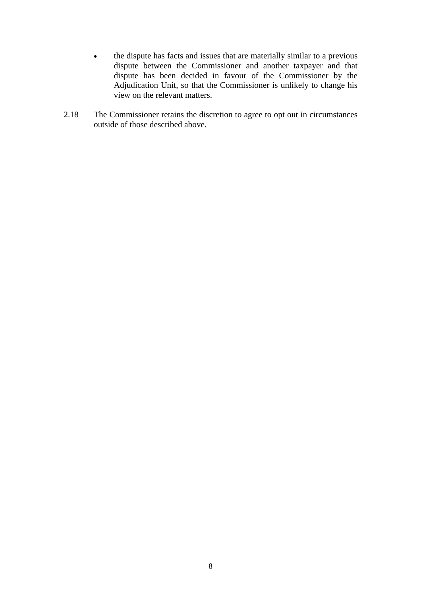- the dispute has facts and issues that are materially similar to a previous dispute between the Commissioner and another taxpayer and that dispute has been decided in favour of the Commissioner by the Adjudication Unit, so that the Commissioner is unlikely to change his view on the relevant matters.
- 2.18 The Commissioner retains the discretion to agree to opt out in circumstances outside of those described above.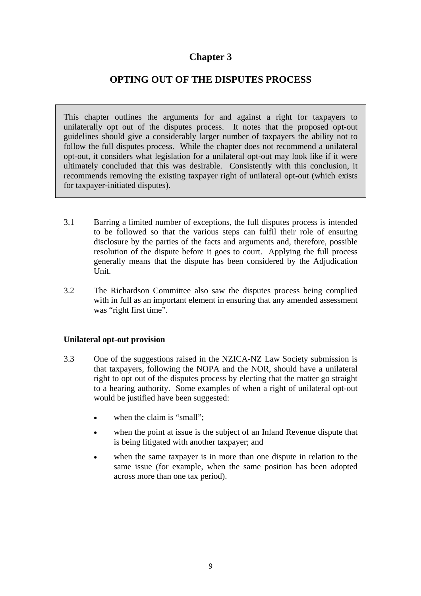# **Chapter 3**

# **OPTING OUT OF THE DISPUTES PROCESS**

This chapter outlines the arguments for and against a right for taxpayers to unilaterally opt out of the disputes process. It notes that the proposed opt-out guidelines should give a considerably larger number of taxpayers the ability not to follow the full disputes process. While the chapter does not recommend a unilateral opt-out, it considers what legislation for a unilateral opt-out may look like if it were ultimately concluded that this was desirable. Consistently with this conclusion, it recommends removing the existing taxpayer right of unilateral opt-out (which exists for taxpayer-initiated disputes).

- 3.1 Barring a limited number of exceptions, the full disputes process is intended to be followed so that the various steps can fulfil their role of ensuring disclosure by the parties of the facts and arguments and, therefore, possible resolution of the dispute before it goes to court. Applying the full process generally means that the dispute has been considered by the Adjudication Unit.
- 3.2 The Richardson Committee also saw the disputes process being complied with in full as an important element in ensuring that any amended assessment was "right first time".

# **Unilateral opt-out provision**

- 3.3 One of the suggestions raised in the NZICA-NZ Law Society submission is that taxpayers, following the NOPA and the NOR, should have a unilateral right to opt out of the disputes process by electing that the matter go straight to a hearing authority. Some examples of when a right of unilateral opt-out would be justified have been suggested:
	- when the claim is "small";
	- when the point at issue is the subject of an Inland Revenue dispute that is being litigated with another taxpayer; and
	- when the same taxpayer is in more than one dispute in relation to the same issue (for example, when the same position has been adopted across more than one tax period).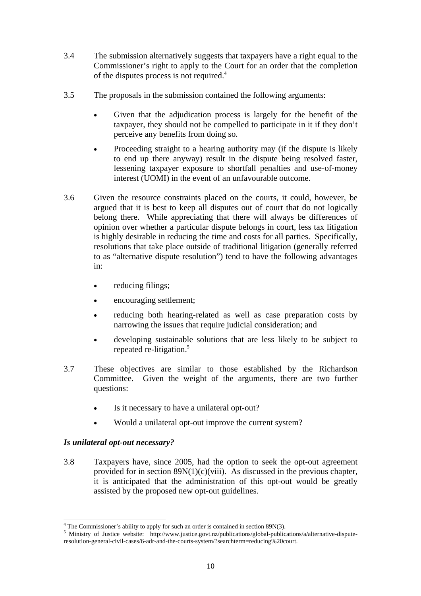- 3.4 The submission alternatively suggests that taxpayers have a right equal to the Commissioner's right to apply to the Court for an order that the completion of the disputes process is not required.4
- 3.5 The proposals in the submission contained the following arguments:
	- Given that the adjudication process is largely for the benefit of the taxpayer, they should not be compelled to participate in it if they don't perceive any benefits from doing so.
	- Proceeding straight to a hearing authority may (if the dispute is likely to end up there anyway) result in the dispute being resolved faster, lessening taxpayer exposure to shortfall penalties and use-of-money interest (UOMI) in the event of an unfavourable outcome.
- 3.6 Given the resource constraints placed on the courts, it could, however, be argued that it is best to keep all disputes out of court that do not logically belong there. While appreciating that there will always be differences of opinion over whether a particular dispute belongs in court, less tax litigation is highly desirable in reducing the time and costs for all parties. Specifically, resolutions that take place outside of traditional litigation (generally referred to as "alternative dispute resolution") tend to have the following advantages in:
	- reducing filings:
	- encouraging settlement;
	- reducing both hearing-related as well as case preparation costs by narrowing the issues that require judicial consideration; and
	- developing sustainable solutions that are less likely to be subject to repeated re-litigation.<sup>5</sup>
- 3.7 These objectives are similar to those established by the Richardson Committee. Given the weight of the arguments, there are two further questions:
	- Is it necessary to have a unilateral opt-out?
	- Would a unilateral opt-out improve the current system?

# *Is unilateral opt-out necessary?*

 $\overline{a}$ 

3.8 Taxpayers have, since 2005, had the option to seek the opt-out agreement provided for in section  $89N(1)(c)(viii)$ . As discussed in the previous chapter, it is anticipated that the administration of this opt-out would be greatly assisted by the proposed new opt-out guidelines.

<sup>&</sup>lt;sup>4</sup> The Commissioner's ability to apply for such an order is contained in section 89N(3).

<sup>&</sup>lt;sup>5</sup> Ministry of Justice website: http://www.justice.govt.nz/publications/global-publications/a/alternative-disputeresolution-general-civil-cases/6-adr-and-the-courts-system/?searchterm=reducing%20court.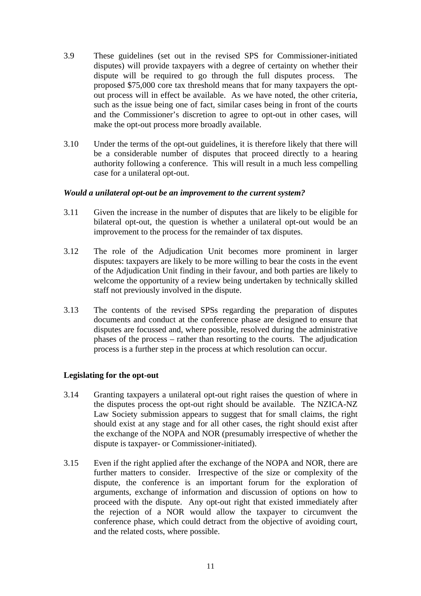- 3.9 These guidelines (set out in the revised SPS for Commissioner-initiated disputes) will provide taxpayers with a degree of certainty on whether their dispute will be required to go through the full disputes process. The proposed \$75,000 core tax threshold means that for many taxpayers the optout process will in effect be available. As we have noted, the other criteria, such as the issue being one of fact, similar cases being in front of the courts and the Commissioner's discretion to agree to opt-out in other cases, will make the opt-out process more broadly available.
- 3.10 Under the terms of the opt-out guidelines, it is therefore likely that there will be a considerable number of disputes that proceed directly to a hearing authority following a conference. This will result in a much less compelling case for a unilateral opt-out.

## *Would a unilateral opt-out be an improvement to the current system?*

- 3.11 Given the increase in the number of disputes that are likely to be eligible for bilateral opt-out, the question is whether a unilateral opt-out would be an improvement to the process for the remainder of tax disputes.
- 3.12 The role of the Adjudication Unit becomes more prominent in larger disputes: taxpayers are likely to be more willing to bear the costs in the event of the Adjudication Unit finding in their favour, and both parties are likely to welcome the opportunity of a review being undertaken by technically skilled staff not previously involved in the dispute.
- 3.13 The contents of the revised SPSs regarding the preparation of disputes documents and conduct at the conference phase are designed to ensure that disputes are focussed and, where possible, resolved during the administrative phases of the process – rather than resorting to the courts. The adjudication process is a further step in the process at which resolution can occur.

## **Legislating for the opt-out**

- 3.14 Granting taxpayers a unilateral opt-out right raises the question of where in the disputes process the opt-out right should be available. The NZICA-NZ Law Society submission appears to suggest that for small claims, the right should exist at any stage and for all other cases, the right should exist after the exchange of the NOPA and NOR (presumably irrespective of whether the dispute is taxpayer- or Commissioner-initiated).
- 3.15 Even if the right applied after the exchange of the NOPA and NOR, there are further matters to consider. Irrespective of the size or complexity of the dispute, the conference is an important forum for the exploration of arguments, exchange of information and discussion of options on how to proceed with the dispute. Any opt-out right that existed immediately after the rejection of a NOR would allow the taxpayer to circumvent the conference phase, which could detract from the objective of avoiding court, and the related costs, where possible.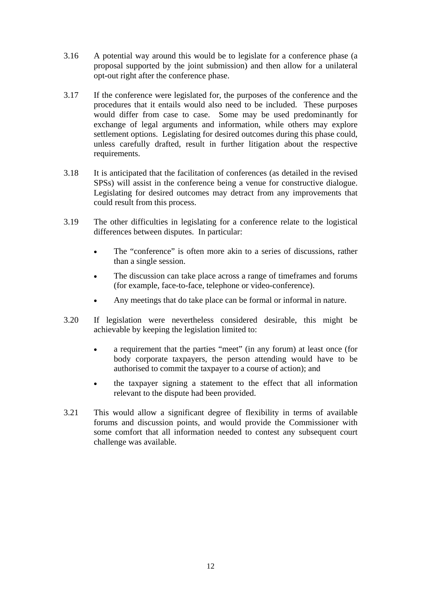- 3.16 A potential way around this would be to legislate for a conference phase (a proposal supported by the joint submission) and then allow for a unilateral opt-out right after the conference phase.
- 3.17 If the conference were legislated for, the purposes of the conference and the procedures that it entails would also need to be included. These purposes would differ from case to case. Some may be used predominantly for exchange of legal arguments and information, while others may explore settlement options. Legislating for desired outcomes during this phase could, unless carefully drafted, result in further litigation about the respective requirements.
- 3.18 It is anticipated that the facilitation of conferences (as detailed in the revised SPSs) will assist in the conference being a venue for constructive dialogue. Legislating for desired outcomes may detract from any improvements that could result from this process.
- 3.19 The other difficulties in legislating for a conference relate to the logistical differences between disputes. In particular:
	- The "conference" is often more akin to a series of discussions, rather than a single session.
	- The discussion can take place across a range of timeframes and forums (for example, face-to-face, telephone or video-conference).
	- Any meetings that do take place can be formal or informal in nature.
- 3.20 If legislation were nevertheless considered desirable, this might be achievable by keeping the legislation limited to:
	- a requirement that the parties "meet" (in any forum) at least once (for body corporate taxpayers, the person attending would have to be authorised to commit the taxpayer to a course of action); and
	- the taxpayer signing a statement to the effect that all information relevant to the dispute had been provided.
- 3.21 This would allow a significant degree of flexibility in terms of available forums and discussion points, and would provide the Commissioner with some comfort that all information needed to contest any subsequent court challenge was available.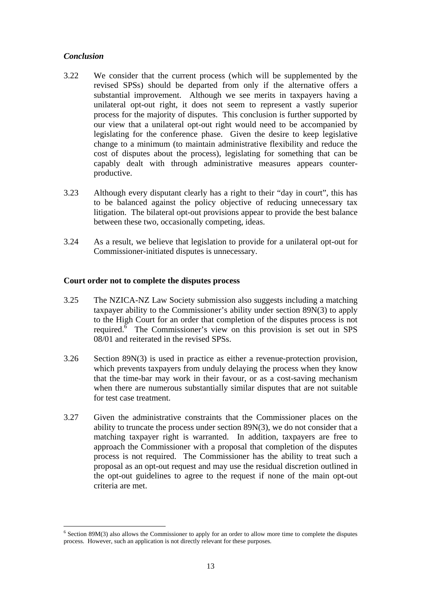# *Conclusion*

 $\overline{a}$ 

- 3.22 We consider that the current process (which will be supplemented by the revised SPSs) should be departed from only if the alternative offers a substantial improvement. Although we see merits in taxpayers having a unilateral opt-out right, it does not seem to represent a vastly superior process for the majority of disputes. This conclusion is further supported by our view that a unilateral opt-out right would need to be accompanied by legislating for the conference phase. Given the desire to keep legislative change to a minimum (to maintain administrative flexibility and reduce the cost of disputes about the process), legislating for something that can be capably dealt with through administrative measures appears counterproductive.
- 3.23 Although every disputant clearly has a right to their "day in court", this has to be balanced against the policy objective of reducing unnecessary tax litigation. The bilateral opt-out provisions appear to provide the best balance between these two, occasionally competing, ideas.
- 3.24 As a result, we believe that legislation to provide for a unilateral opt-out for Commissioner-initiated disputes is unnecessary.

## **Court order not to complete the disputes process**

- 3.25 The NZICA-NZ Law Society submission also suggests including a matching taxpayer ability to the Commissioner's ability under section 89N(3) to apply to the High Court for an order that completion of the disputes process is not required. $\bar{6}$  The Commissioner's view on this provision is set out in SPS 08/01 and reiterated in the revised SPSs.
- 3.26 Section 89N(3) is used in practice as either a revenue-protection provision, which prevents taxpayers from unduly delaying the process when they know that the time-bar may work in their favour, or as a cost-saving mechanism when there are numerous substantially similar disputes that are not suitable for test case treatment.
- 3.27 Given the administrative constraints that the Commissioner places on the ability to truncate the process under section 89N(3), we do not consider that a matching taxpayer right is warranted. In addition, taxpayers are free to approach the Commissioner with a proposal that completion of the disputes process is not required. The Commissioner has the ability to treat such a proposal as an opt-out request and may use the residual discretion outlined in the opt-out guidelines to agree to the request if none of the main opt-out criteria are met.

<sup>&</sup>lt;sup>6</sup> Section 89M(3) also allows the Commissioner to apply for an order to allow more time to complete the disputes process. However, such an application is not directly relevant for these purposes.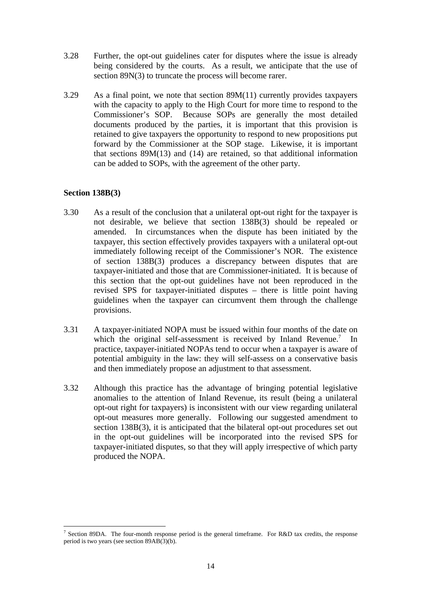- 3.28 Further, the opt-out guidelines cater for disputes where the issue is already being considered by the courts. As a result, we anticipate that the use of section 89N(3) to truncate the process will become rarer.
- 3.29 As a final point, we note that section 89M(11) currently provides taxpayers with the capacity to apply to the High Court for more time to respond to the Commissioner's SOP. Because SOPs are generally the most detailed documents produced by the parties, it is important that this provision is retained to give taxpayers the opportunity to respond to new propositions put forward by the Commissioner at the SOP stage. Likewise, it is important that sections 89M(13) and (14) are retained, so that additional information can be added to SOPs, with the agreement of the other party.

## **Section 138B(3)**

- 3.30 As a result of the conclusion that a unilateral opt-out right for the taxpayer is not desirable, we believe that section 138B(3) should be repealed or amended. In circumstances when the dispute has been initiated by the taxpayer, this section effectively provides taxpayers with a unilateral opt-out immediately following receipt of the Commissioner's NOR. The existence of section 138B(3) produces a discrepancy between disputes that are taxpayer-initiated and those that are Commissioner-initiated. It is because of this section that the opt-out guidelines have not been reproduced in the revised SPS for taxpayer-initiated disputes – there is little point having guidelines when the taxpayer can circumvent them through the challenge provisions.
- 3.31 A taxpayer-initiated NOPA must be issued within four months of the date on which the original self-assessment is received by Inland Revenue.<sup>7</sup> In practice, taxpayer-initiated NOPAs tend to occur when a taxpayer is aware of potential ambiguity in the law: they will self-assess on a conservative basis and then immediately propose an adjustment to that assessment.
- 3.32 Although this practice has the advantage of bringing potential legislative anomalies to the attention of Inland Revenue, its result (being a unilateral opt-out right for taxpayers) is inconsistent with our view regarding unilateral opt-out measures more generally. Following our suggested amendment to section 138B(3), it is anticipated that the bilateral opt-out procedures set out in the opt-out guidelines will be incorporated into the revised SPS for taxpayer-initiated disputes, so that they will apply irrespective of which party produced the NOPA.

 $\overline{a}$ <sup>7</sup> Section 89DA. The four-month response period is the general timeframe. For R&D tax credits, the response period is two years (see section 89AB(3)(b).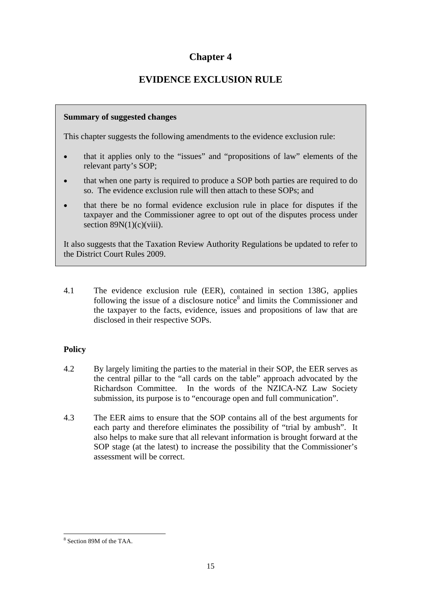# **Chapter 4**

# **EVIDENCE EXCLUSION RULE**

# **Summary of suggested changes**

This chapter suggests the following amendments to the evidence exclusion rule:

- that it applies only to the "issues" and "propositions of law" elements of the relevant party's SOP;
- that when one party is required to produce a SOP both parties are required to do so. The evidence exclusion rule will then attach to these SOPs; and
- that there be no formal evidence exclusion rule in place for disputes if the taxpayer and the Commissioner agree to opt out of the disputes process under section  $89N(1)(c)(viii)$ .

It also suggests that the Taxation Review Authority Regulations be updated to refer to the District Court Rules 2009.

4.1 The evidence exclusion rule (EER), contained in section 138G, applies following the issue of a disclosure notice $8$  and limits the Commissioner and the taxpayer to the facts, evidence, issues and propositions of law that are disclosed in their respective SOPs.

# **Policy**

- 4.2 By largely limiting the parties to the material in their SOP, the EER serves as the central pillar to the "all cards on the table" approach advocated by the Richardson Committee. In the words of the NZICA-NZ Law Society submission, its purpose is to "encourage open and full communication".
- 4.3 The EER aims to ensure that the SOP contains all of the best arguments for each party and therefore eliminates the possibility of "trial by ambush". It also helps to make sure that all relevant information is brought forward at the SOP stage (at the latest) to increase the possibility that the Commissioner's assessment will be correct.

 $\overline{a}$ 8 Section 89M of the TAA.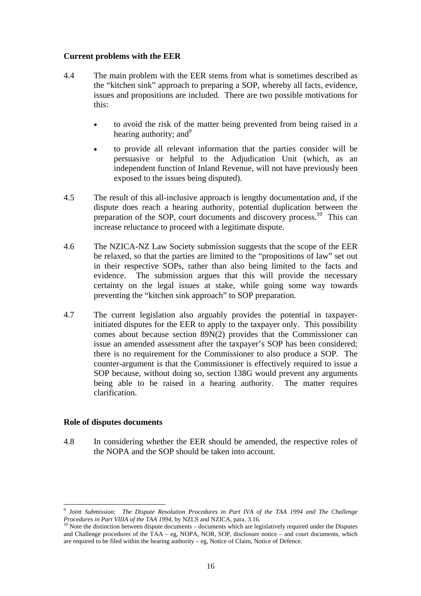# **Current problems with the EER**

- 4.4 The main problem with the EER stems from what is sometimes described as the "kitchen sink" approach to preparing a SOP, whereby all facts, evidence, issues and propositions are included. There are two possible motivations for this:
	- to avoid the risk of the matter being prevented from being raised in a hearing authority; and  $9^9$
	- to provide all relevant information that the parties consider will be persuasive or helpful to the Adjudication Unit (which, as an independent function of Inland Revenue, will not have previously been exposed to the issues being disputed).
- 4.5 The result of this all-inclusive approach is lengthy documentation and, if the dispute does reach a hearing authority, potential duplication between the preparation of the SOP, court documents and discovery process.<sup>10</sup> This can increase reluctance to proceed with a legitimate dispute.
- 4.6 The NZICA-NZ Law Society submission suggests that the scope of the EER be relaxed, so that the parties are limited to the "propositions of law" set out in their respective SOPs, rather than also being limited to the facts and evidence. The submission argues that this will provide the necessary certainty on the legal issues at stake, while going some way towards preventing the "kitchen sink approach" to SOP preparation.
- 4.7 The current legislation also arguably provides the potential in taxpayerinitiated disputes for the EER to apply to the taxpayer only. This possibility comes about because section 89N(2) provides that the Commissioner can issue an amended assessment after the taxpayer's SOP has been considered; there is no requirement for the Commissioner to also produce a SOP. The counter-argument is that the Commissioner is effectively required to issue a SOP because, without doing so, section 138G would prevent any arguments being able to be raised in a hearing authority. The matter requires clarification.

## **Role of disputes documents**

 $\overline{a}$ 

4.8 In considering whether the EER should be amended, the respective roles of the NOPA and the SOP should be taken into account.

<sup>9</sup> *Joint Submission: The Dispute Resolution Procedures in Part IVA of the TAA 1994 and The Challenge Procedures in Part VIIIA of the TAA 1994*, by NZLS and NZICA, para. 3.16.<br><sup>10</sup> Note the distinction between dispute documents – documents which are legislatively required under the Disputes

and Challenge procedures of the TAA – eg, NOPA, NOR, SOP, disclosure notice – and court documents, which are required to be filed within the hearing authority – eg, Notice of Claim, Notice of Defence.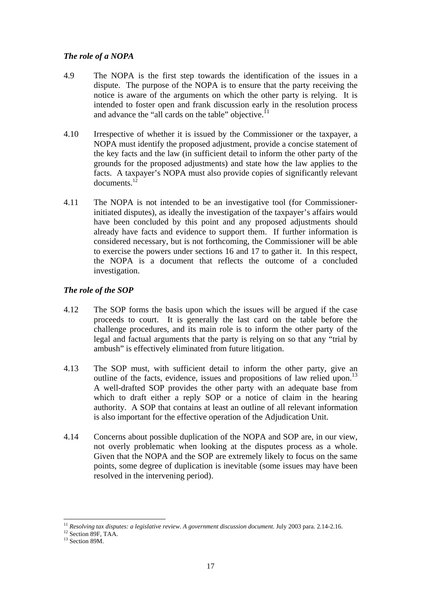# *The role of a NOPA*

- 4.9 The NOPA is the first step towards the identification of the issues in a dispute. The purpose of the NOPA is to ensure that the party receiving the notice is aware of the arguments on which the other party is relying. It is intended to foster open and frank discussion early in the resolution process and advance the "all cards on the table" objective. $11$
- 4.10 Irrespective of whether it is issued by the Commissioner or the taxpayer, a NOPA must identify the proposed adjustment, provide a concise statement of the key facts and the law (in sufficient detail to inform the other party of the grounds for the proposed adjustments) and state how the law applies to the facts. A taxpayer's NOPA must also provide copies of significantly relevant documents. $1\overline{2}$
- 4.11 The NOPA is not intended to be an investigative tool (for Commissionerinitiated disputes), as ideally the investigation of the taxpayer's affairs would have been concluded by this point and any proposed adjustments should already have facts and evidence to support them. If further information is considered necessary, but is not forthcoming, the Commissioner will be able to exercise the powers under sections 16 and 17 to gather it. In this respect, the NOPA is a document that reflects the outcome of a concluded investigation.

# *The role of the SOP*

- 4.12 The SOP forms the basis upon which the issues will be argued if the case proceeds to court. It is generally the last card on the table before the challenge procedures, and its main role is to inform the other party of the legal and factual arguments that the party is relying on so that any "trial by ambush" is effectively eliminated from future litigation.
- 4.13 The SOP must, with sufficient detail to inform the other party, give an outline of the facts, evidence, issues and propositions of law relied upon.<sup>13</sup> A well-drafted SOP provides the other party with an adequate base from which to draft either a reply SOP or a notice of claim in the hearing authority. A SOP that contains at least an outline of all relevant information is also important for the effective operation of the Adjudication Unit.
- 4.14 Concerns about possible duplication of the NOPA and SOP are, in our view, not overly problematic when looking at the disputes process as a whole. Given that the NOPA and the SOP are extremely likely to focus on the same points, some degree of duplication is inevitable (some issues may have been resolved in the intervening period).

 $\overline{a}$ <sup>11</sup> *Resolving tax disputes: a legislative review. A government discussion document.* July 2003 para. 2.14-2.16.<br><sup>12</sup> Section 89F. TAA.

<sup>&</sup>lt;sup>13</sup> Section 89M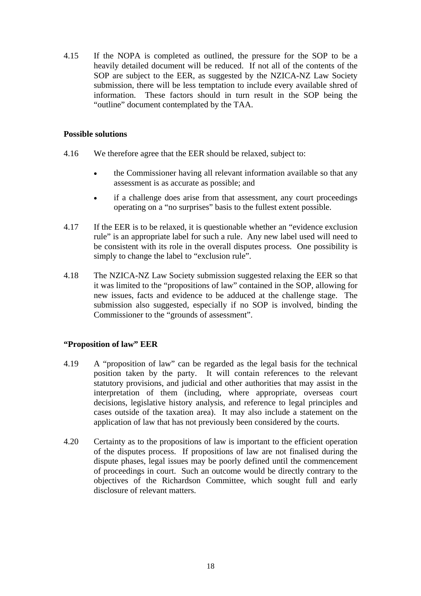4.15 If the NOPA is completed as outlined, the pressure for the SOP to be a heavily detailed document will be reduced. If not all of the contents of the SOP are subject to the EER, as suggested by the NZICA-NZ Law Society submission, there will be less temptation to include every available shred of information. These factors should in turn result in the SOP being the "outline" document contemplated by the TAA.

## **Possible solutions**

- 4.16 We therefore agree that the EER should be relaxed, subject to:
	- the Commissioner having all relevant information available so that any assessment is as accurate as possible; and
	- if a challenge does arise from that assessment, any court proceedings operating on a "no surprises" basis to the fullest extent possible.
- 4.17 If the EER is to be relaxed, it is questionable whether an "evidence exclusion rule" is an appropriate label for such a rule. Any new label used will need to be consistent with its role in the overall disputes process. One possibility is simply to change the label to "exclusion rule".
- 4.18 The NZICA-NZ Law Society submission suggested relaxing the EER so that it was limited to the "propositions of law" contained in the SOP, allowing for new issues, facts and evidence to be adduced at the challenge stage. The submission also suggested, especially if no SOP is involved, binding the Commissioner to the "grounds of assessment".

# **"Proposition of law" EER**

- 4.19 A "proposition of law" can be regarded as the legal basis for the technical position taken by the party. It will contain references to the relevant statutory provisions, and judicial and other authorities that may assist in the interpretation of them (including, where appropriate, overseas court decisions, legislative history analysis, and reference to legal principles and cases outside of the taxation area). It may also include a statement on the application of law that has not previously been considered by the courts.
- 4.20 Certainty as to the propositions of law is important to the efficient operation of the disputes process. If propositions of law are not finalised during the dispute phases, legal issues may be poorly defined until the commencement of proceedings in court. Such an outcome would be directly contrary to the objectives of the Richardson Committee, which sought full and early disclosure of relevant matters.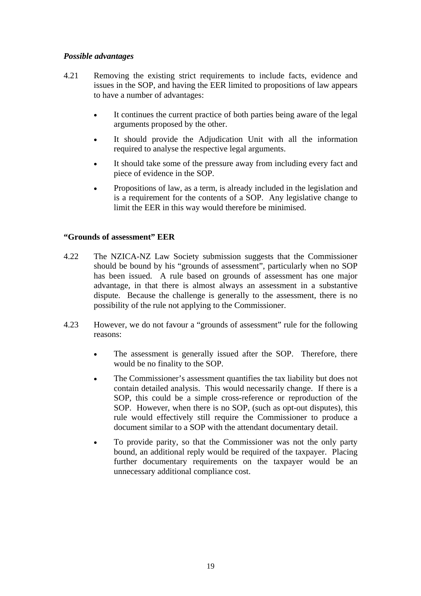# *Possible advantages*

- 4.21 Removing the existing strict requirements to include facts, evidence and issues in the SOP, and having the EER limited to propositions of law appears to have a number of advantages:
	- It continues the current practice of both parties being aware of the legal arguments proposed by the other.
	- It should provide the Adjudication Unit with all the information required to analyse the respective legal arguments.
	- It should take some of the pressure away from including every fact and piece of evidence in the SOP.
	- Propositions of law, as a term, is already included in the legislation and is a requirement for the contents of a SOP. Any legislative change to limit the EER in this way would therefore be minimised.

# **"Grounds of assessment" EER**

- 4.22 The NZICA-NZ Law Society submission suggests that the Commissioner should be bound by his "grounds of assessment", particularly when no SOP has been issued. A rule based on grounds of assessment has one major advantage, in that there is almost always an assessment in a substantive dispute. Because the challenge is generally to the assessment, there is no possibility of the rule not applying to the Commissioner.
- 4.23 However, we do not favour a "grounds of assessment" rule for the following reasons:
	- The assessment is generally issued after the SOP. Therefore, there would be no finality to the SOP.
	- The Commissioner's assessment quantifies the tax liability but does not contain detailed analysis. This would necessarily change. If there is a SOP, this could be a simple cross-reference or reproduction of the SOP. However, when there is no SOP, (such as opt-out disputes), this rule would effectively still require the Commissioner to produce a document similar to a SOP with the attendant documentary detail.
	- To provide parity, so that the Commissioner was not the only party bound, an additional reply would be required of the taxpayer. Placing further documentary requirements on the taxpayer would be an unnecessary additional compliance cost.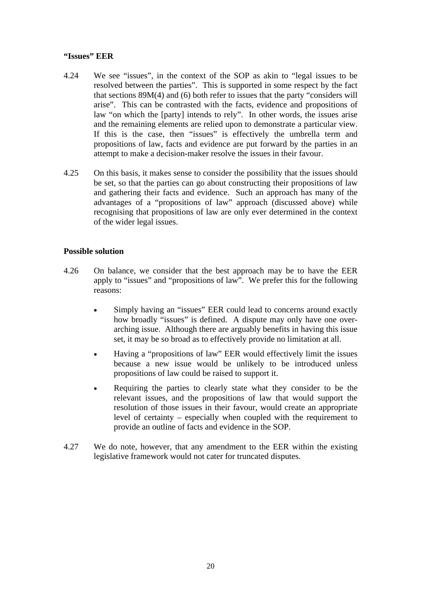## **"Issues" EER**

- 4.24 We see "issues", in the context of the SOP as akin to "legal issues to be resolved between the parties". This is supported in some respect by the fact that sections 89M(4) and (6) both refer to issues that the party "considers will arise". This can be contrasted with the facts, evidence and propositions of law "on which the [party] intends to rely". In other words, the issues arise and the remaining elements are relied upon to demonstrate a particular view. If this is the case, then "issues" is effectively the umbrella term and propositions of law, facts and evidence are put forward by the parties in an attempt to make a decision-maker resolve the issues in their favour.
- 4.25 On this basis, it makes sense to consider the possibility that the issues should be set, so that the parties can go about constructing their propositions of law and gathering their facts and evidence. Such an approach has many of the advantages of a "propositions of law" approach (discussed above) while recognising that propositions of law are only ever determined in the context of the wider legal issues.

# **Possible solution**

- 4.26 On balance, we consider that the best approach may be to have the EER apply to "issues" and "propositions of law". We prefer this for the following reasons:
	- Simply having an "issues" EER could lead to concerns around exactly how broadly "issues" is defined. A dispute may only have one overarching issue. Although there are arguably benefits in having this issue set, it may be so broad as to effectively provide no limitation at all.
	- Having a "propositions of law" EER would effectively limit the issues because a new issue would be unlikely to be introduced unless propositions of law could be raised to support it.
	- Requiring the parties to clearly state what they consider to be the relevant issues, and the propositions of law that would support the resolution of those issues in their favour, would create an appropriate level of certainty – especially when coupled with the requirement to provide an outline of facts and evidence in the SOP.
- 4.27 We do note, however, that any amendment to the EER within the existing legislative framework would not cater for truncated disputes.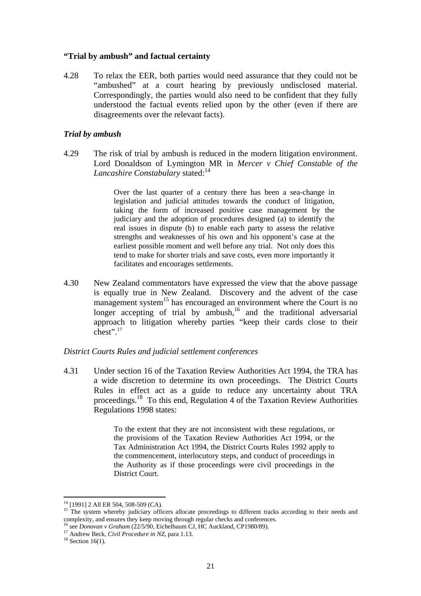#### **"Trial by ambush" and factual certainty**

4.28 To relax the EER, both parties would need assurance that they could not be "ambushed" at a court hearing by previously undisclosed material. Correspondingly, the parties would also need to be confident that they fully understood the factual events relied upon by the other (even if there are disagreements over the relevant facts).

#### *Trial by ambush*

4.29 The risk of trial by ambush is reduced in the modern litigation environment. Lord Donaldson of Lymington MR in *Mercer v Chief Constable of the Lancashire Constabulary* stated:<sup>14</sup>

> Over the last quarter of a century there has been a sea-change in legislation and judicial attitudes towards the conduct of litigation, taking the form of increased positive case management by the judiciary and the adoption of procedures designed (a) to identify the real issues in dispute (b) to enable each party to assess the relative strengths and weaknesses of his own and his opponent's case at the earliest possible moment and well before any trial. Not only does this tend to make for shorter trials and save costs, even more importantly it facilitates and encourages settlements.

4.30 New Zealand commentators have expressed the view that the above passage is equally true in New Zealand. Discovery and the advent of the case management system<sup>15</sup> has encouraged an environment where the Court is no longer accepting of trial by ambush, $16$  and the traditional adversarial approach to litigation whereby parties "keep their cards close to their chest".17

#### *District Courts Rules and judicial settlement conferences*

4.31 Under section 16 of the Taxation Review Authorities Act 1994, the TRA has a wide discretion to determine its own proceedings. The District Courts Rules in effect act as a guide to reduce any uncertainty about TRA proceedings.18 To this end, Regulation 4 of the Taxation Review Authorities Regulations 1998 states:

> To the extent that they are not inconsistent with these regulations, or the provisions of the Taxation Review Authorities Act 1994, or the Tax Administration Act 1994, the District Courts Rules 1992 apply to the commencement, interlocutory steps, and conduct of proceedings in the Authority as if those proceedings were civil proceedings in the District Court.

 $\overline{a}$ 

<sup>&</sup>lt;sup>14</sup> [1991] 2 All ER 504, 508-509 (CA).

<sup>&</sup>lt;sup>15</sup> The system whereby judiciary officers allocate proceedings to different tracks according to their needs and complexity, and ensures they keep moving through regular checks and conferences.<br><sup>16</sup> see *Donovan v Graham* (22/5/90, Eichelbaum CJ, HC Auckland, CP1980/89).<br><sup>17</sup> Andrew Beck, *Civil Procedure in NZ*, para 1.13.<br><sup>18</sup> Sec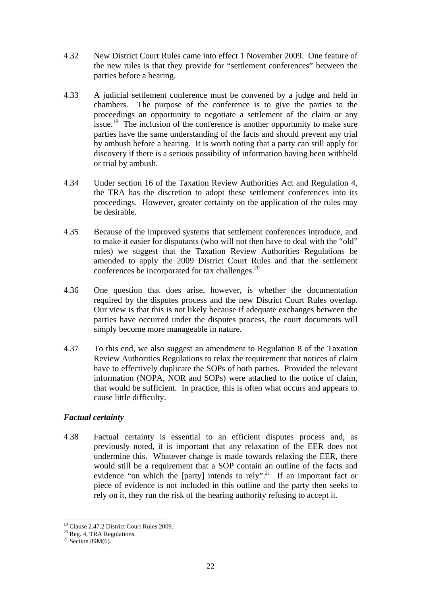- 4.32 New District Court Rules came into effect 1 November 2009. One feature of the new rules is that they provide for "settlement conferences" between the parties before a hearing.
- 4.33 A judicial settlement conference must be convened by a judge and held in chambers. The purpose of the conference is to give the parties to the proceedings an opportunity to negotiate a settlement of the claim or any issue.<sup>19</sup> The inclusion of the conference is another opportunity to make sure parties have the same understanding of the facts and should prevent any trial by ambush before a hearing. It is worth noting that a party can still apply for discovery if there is a serious possibility of information having been withheld or trial by ambush.
- 4.34 Under section 16 of the Taxation Review Authorities Act and Regulation 4, the TRA has the discretion to adopt these settlement conferences into its proceedings. However, greater certainty on the application of the rules may be desirable.
- 4.35 Because of the improved systems that settlement conferences introduce, and to make it easier for disputants (who will not then have to deal with the "old" rules) we suggest that the Taxation Review Authorities Regulations be amended to apply the 2009 District Court Rules and that the settlement conferences be incorporated for tax challenges.<sup>20</sup>
- 4.36 One question that does arise, however, is whether the documentation required by the disputes process and the new District Court Rules overlap. Our view is that this is not likely because if adequate exchanges between the parties have occurred under the disputes process, the court documents will simply become more manageable in nature.
- 4.37 To this end, we also suggest an amendment to Regulation 8 of the Taxation Review Authorities Regulations to relax the requirement that notices of claim have to effectively duplicate the SOPs of both parties. Provided the relevant information (NOPA, NOR and SOPs) were attached to the notice of claim, that would be sufficient. In practice, this is often what occurs and appears to cause little difficulty.

# *Factual certainty*

4.38 Factual certainty is essential to an efficient disputes process and, as previously noted, it is important that any relaxation of the EER does not undermine this. Whatever change is made towards relaxing the EER, there would still be a requirement that a SOP contain an outline of the facts and evidence "on which the [party] intends to rely".<sup>21</sup> If an important fact or piece of evidence is not included in this outline and the party then seeks to rely on it, they run the risk of the hearing authority refusing to accept it.

 $\overline{a}$ 19 Clause 2.47.2 District Court Rules 2009.

<sup>20</sup> Reg. 4, TRA Regulations.

<sup>&</sup>lt;sup>21</sup> Section 89M(6).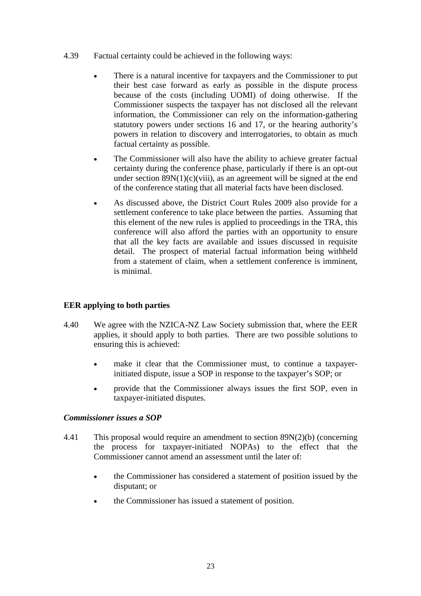- 4.39 Factual certainty could be achieved in the following ways:
	- There is a natural incentive for taxpayers and the Commissioner to put their best case forward as early as possible in the dispute process because of the costs (including UOMI) of doing otherwise. If the Commissioner suspects the taxpayer has not disclosed all the relevant information, the Commissioner can rely on the information-gathering statutory powers under sections 16 and 17, or the hearing authority's powers in relation to discovery and interrogatories, to obtain as much factual certainty as possible.
	- The Commissioner will also have the ability to achieve greater factual certainty during the conference phase, particularly if there is an opt-out under section  $89N(1)(c)(viii)$ , as an agreement will be signed at the end of the conference stating that all material facts have been disclosed.
	- As discussed above, the District Court Rules 2009 also provide for a settlement conference to take place between the parties. Assuming that this element of the new rules is applied to proceedings in the TRA, this conference will also afford the parties with an opportunity to ensure that all the key facts are available and issues discussed in requisite detail. The prospect of material factual information being withheld from a statement of claim, when a settlement conference is imminent, is minimal.

# **EER applying to both parties**

- 4.40 We agree with the NZICA-NZ Law Society submission that, where the EER applies, it should apply to both parties. There are two possible solutions to ensuring this is achieved:
	- make it clear that the Commissioner must, to continue a taxpayerinitiated dispute, issue a SOP in response to the taxpayer's SOP; or
	- provide that the Commissioner always issues the first SOP, even in taxpayer-initiated disputes.

# *Commissioner issues a SOP*

- 4.41 This proposal would require an amendment to section 89N(2)(b) (concerning the process for taxpayer-initiated NOPAs) to the effect that the Commissioner cannot amend an assessment until the later of:
	- the Commissioner has considered a statement of position issued by the disputant; or
	- the Commissioner has issued a statement of position.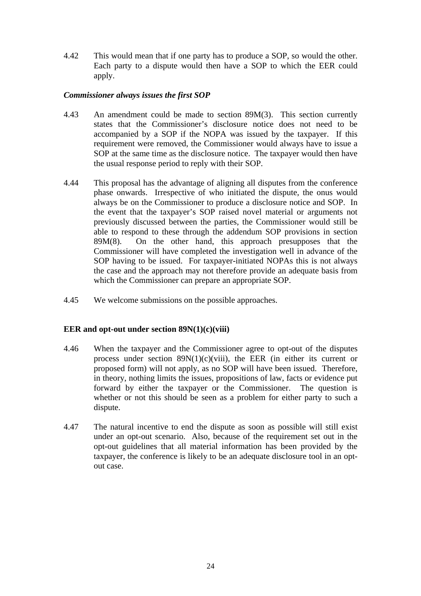4.42 This would mean that if one party has to produce a SOP, so would the other. Each party to a dispute would then have a SOP to which the EER could apply.

# *Commissioner always issues the first SOP*

- 4.43 An amendment could be made to section 89M(3). This section currently states that the Commissioner's disclosure notice does not need to be accompanied by a SOP if the NOPA was issued by the taxpayer. If this requirement were removed, the Commissioner would always have to issue a SOP at the same time as the disclosure notice. The taxpayer would then have the usual response period to reply with their SOP.
- 4.44 This proposal has the advantage of aligning all disputes from the conference phase onwards. Irrespective of who initiated the dispute, the onus would always be on the Commissioner to produce a disclosure notice and SOP. In the event that the taxpayer's SOP raised novel material or arguments not previously discussed between the parties, the Commissioner would still be able to respond to these through the addendum SOP provisions in section 89M(8). On the other hand, this approach presupposes that the Commissioner will have completed the investigation well in advance of the SOP having to be issued. For taxpayer-initiated NOPAs this is not always the case and the approach may not therefore provide an adequate basis from which the Commissioner can prepare an appropriate SOP.
- 4.45 We welcome submissions on the possible approaches.

## **EER and opt-out under section 89N(1)(c)(viii)**

- 4.46 When the taxpayer and the Commissioner agree to opt-out of the disputes process under section  $89N(1)(c)(viii)$ , the EER (in either its current or proposed form) will not apply, as no SOP will have been issued. Therefore, in theory, nothing limits the issues, propositions of law, facts or evidence put forward by either the taxpayer or the Commissioner. The question is whether or not this should be seen as a problem for either party to such a dispute.
- 4.47 The natural incentive to end the dispute as soon as possible will still exist under an opt-out scenario. Also, because of the requirement set out in the opt-out guidelines that all material information has been provided by the taxpayer, the conference is likely to be an adequate disclosure tool in an optout case.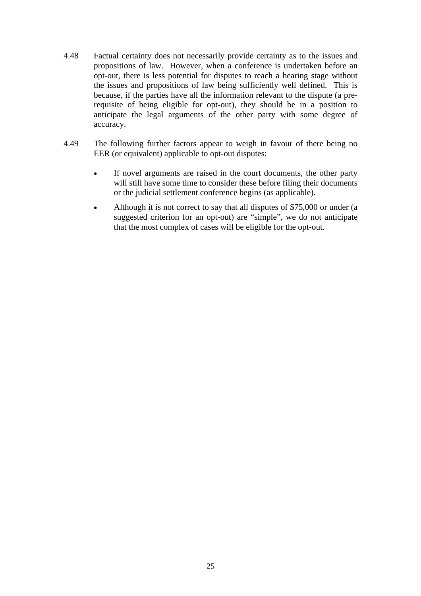- 4.48 Factual certainty does not necessarily provide certainty as to the issues and propositions of law. However, when a conference is undertaken before an opt-out, there is less potential for disputes to reach a hearing stage without the issues and propositions of law being sufficiently well defined. This is because, if the parties have all the information relevant to the dispute (a prerequisite of being eligible for opt-out), they should be in a position to anticipate the legal arguments of the other party with some degree of accuracy.
- 4.49 The following further factors appear to weigh in favour of there being no EER (or equivalent) applicable to opt-out disputes:
	- If novel arguments are raised in the court documents, the other party will still have some time to consider these before filing their documents or the judicial settlement conference begins (as applicable).
	- Although it is not correct to say that all disputes of \$75,000 or under (a suggested criterion for an opt-out) are "simple", we do not anticipate that the most complex of cases will be eligible for the opt-out.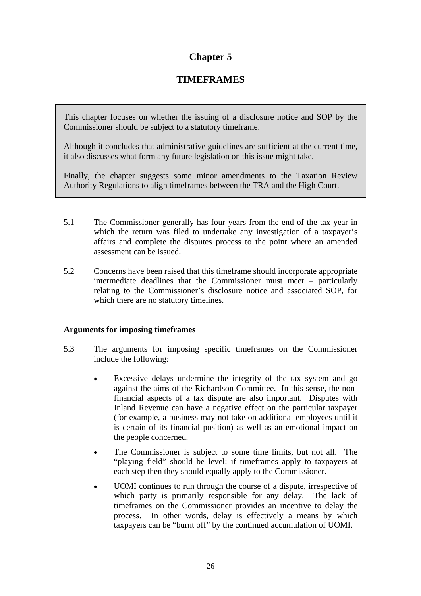# **Chapter 5**

# **TIMEFRAMES**

This chapter focuses on whether the issuing of a disclosure notice and SOP by the Commissioner should be subject to a statutory timeframe.

Although it concludes that administrative guidelines are sufficient at the current time, it also discusses what form any future legislation on this issue might take.

Finally, the chapter suggests some minor amendments to the Taxation Review Authority Regulations to align timeframes between the TRA and the High Court.

- 5.1 The Commissioner generally has four years from the end of the tax year in which the return was filed to undertake any investigation of a taxpayer's affairs and complete the disputes process to the point where an amended assessment can be issued.
- 5.2 Concerns have been raised that this timeframe should incorporate appropriate intermediate deadlines that the Commissioner must meet – particularly relating to the Commissioner's disclosure notice and associated SOP, for which there are no statutory timelines.

# **Arguments for imposing timeframes**

- 5.3 The arguments for imposing specific timeframes on the Commissioner include the following:
	- Excessive delays undermine the integrity of the tax system and go against the aims of the Richardson Committee. In this sense, the nonfinancial aspects of a tax dispute are also important. Disputes with Inland Revenue can have a negative effect on the particular taxpayer (for example, a business may not take on additional employees until it is certain of its financial position) as well as an emotional impact on the people concerned.
	- The Commissioner is subject to some time limits, but not all. The "playing field" should be level: if timeframes apply to taxpayers at each step then they should equally apply to the Commissioner.
	- UOMI continues to run through the course of a dispute, irrespective of which party is primarily responsible for any delay. The lack of timeframes on the Commissioner provides an incentive to delay the process. In other words, delay is effectively a means by which taxpayers can be "burnt off" by the continued accumulation of UOMI.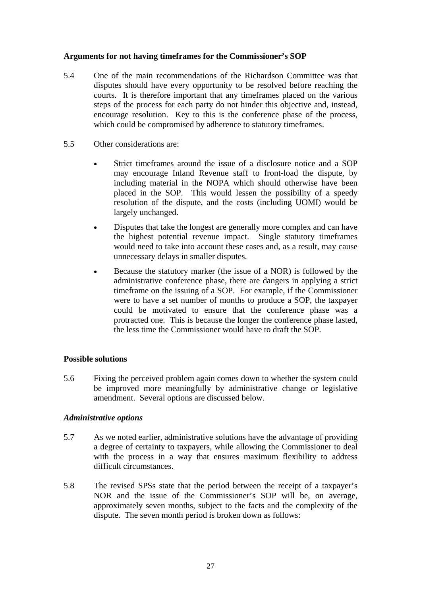# **Arguments for not having timeframes for the Commissioner's SOP**

- 5.4 One of the main recommendations of the Richardson Committee was that disputes should have every opportunity to be resolved before reaching the courts. It is therefore important that any timeframes placed on the various steps of the process for each party do not hinder this objective and, instead, encourage resolution. Key to this is the conference phase of the process, which could be compromised by adherence to statutory timeframes.
- 5.5 Other considerations are:
	- Strict timeframes around the issue of a disclosure notice and a SOP may encourage Inland Revenue staff to front-load the dispute, by including material in the NOPA which should otherwise have been placed in the SOP. This would lessen the possibility of a speedy resolution of the dispute, and the costs (including UOMI) would be largely unchanged.
	- Disputes that take the longest are generally more complex and can have the highest potential revenue impact. Single statutory timeframes would need to take into account these cases and, as a result, may cause unnecessary delays in smaller disputes.
	- Because the statutory marker (the issue of a NOR) is followed by the administrative conference phase, there are dangers in applying a strict timeframe on the issuing of a SOP. For example, if the Commissioner were to have a set number of months to produce a SOP, the taxpayer could be motivated to ensure that the conference phase was a protracted one. This is because the longer the conference phase lasted, the less time the Commissioner would have to draft the SOP.

## **Possible solutions**

5.6 Fixing the perceived problem again comes down to whether the system could be improved more meaningfully by administrative change or legislative amendment. Several options are discussed below.

## *Administrative options*

- 5.7 As we noted earlier, administrative solutions have the advantage of providing a degree of certainty to taxpayers, while allowing the Commissioner to deal with the process in a way that ensures maximum flexibility to address difficult circumstances.
- 5.8 The revised SPSs state that the period between the receipt of a taxpayer's NOR and the issue of the Commissioner's SOP will be, on average, approximately seven months, subject to the facts and the complexity of the dispute. The seven month period is broken down as follows: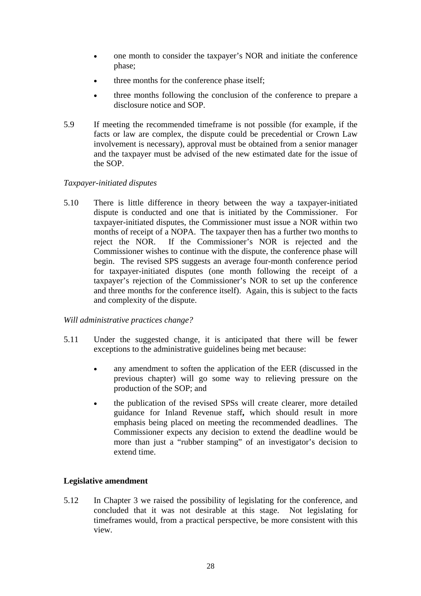- one month to consider the taxpayer's NOR and initiate the conference phase;
- three months for the conference phase itself;
- three months following the conclusion of the conference to prepare a disclosure notice and SOP.
- 5.9 If meeting the recommended timeframe is not possible (for example, if the facts or law are complex, the dispute could be precedential or Crown Law involvement is necessary), approval must be obtained from a senior manager and the taxpayer must be advised of the new estimated date for the issue of the SOP.

# *Taxpayer-initiated disputes*

5.10 There is little difference in theory between the way a taxpayer-initiated dispute is conducted and one that is initiated by the Commissioner. For taxpayer-initiated disputes, the Commissioner must issue a NOR within two months of receipt of a NOPA. The taxpayer then has a further two months to reject the NOR. If the Commissioner's NOR is rejected and the Commissioner wishes to continue with the dispute, the conference phase will begin. The revised SPS suggests an average four-month conference period for taxpayer-initiated disputes (one month following the receipt of a taxpayer's rejection of the Commissioner's NOR to set up the conference and three months for the conference itself). Again, this is subject to the facts and complexity of the dispute.

## *Will administrative practices change?*

- 5.11 Under the suggested change, it is anticipated that there will be fewer exceptions to the administrative guidelines being met because:
	- any amendment to soften the application of the EER (discussed in the previous chapter) will go some way to relieving pressure on the production of the SOP; and
	- the publication of the revised SPSs will create clearer, more detailed guidance for Inland Revenue staff**,** which should result in more emphasis being placed on meeting the recommended deadlines. The Commissioner expects any decision to extend the deadline would be more than just a "rubber stamping" of an investigator's decision to extend time.

# **Legislative amendment**

5.12 In Chapter 3 we raised the possibility of legislating for the conference, and concluded that it was not desirable at this stage. Not legislating for timeframes would, from a practical perspective, be more consistent with this view.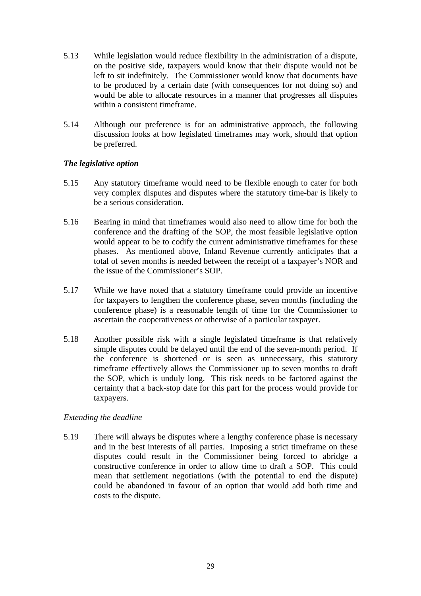- 5.13 While legislation would reduce flexibility in the administration of a dispute, on the positive side, taxpayers would know that their dispute would not be left to sit indefinitely. The Commissioner would know that documents have to be produced by a certain date (with consequences for not doing so) and would be able to allocate resources in a manner that progresses all disputes within a consistent timeframe.
- 5.14 Although our preference is for an administrative approach, the following discussion looks at how legislated timeframes may work, should that option be preferred.

# *The legislative option*

- 5.15 Any statutory timeframe would need to be flexible enough to cater for both very complex disputes and disputes where the statutory time-bar is likely to be a serious consideration.
- 5.16 Bearing in mind that timeframes would also need to allow time for both the conference and the drafting of the SOP, the most feasible legislative option would appear to be to codify the current administrative timeframes for these phases. As mentioned above, Inland Revenue currently anticipates that a total of seven months is needed between the receipt of a taxpayer's NOR and the issue of the Commissioner's SOP.
- 5.17 While we have noted that a statutory timeframe could provide an incentive for taxpayers to lengthen the conference phase, seven months (including the conference phase) is a reasonable length of time for the Commissioner to ascertain the cooperativeness or otherwise of a particular taxpayer.
- 5.18 Another possible risk with a single legislated timeframe is that relatively simple disputes could be delayed until the end of the seven-month period. If the conference is shortened or is seen as unnecessary, this statutory timeframe effectively allows the Commissioner up to seven months to draft the SOP, which is unduly long. This risk needs to be factored against the certainty that a back-stop date for this part for the process would provide for taxpayers.

# *Extending the deadline*

5.19 There will always be disputes where a lengthy conference phase is necessary and in the best interests of all parties. Imposing a strict timeframe on these disputes could result in the Commissioner being forced to abridge a constructive conference in order to allow time to draft a SOP. This could mean that settlement negotiations (with the potential to end the dispute) could be abandoned in favour of an option that would add both time and costs to the dispute.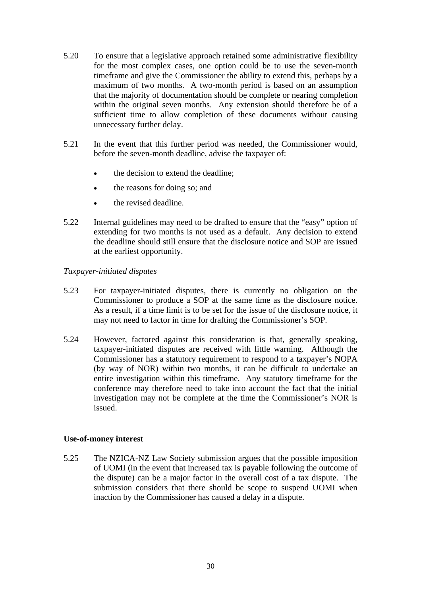- 5.20 To ensure that a legislative approach retained some administrative flexibility for the most complex cases, one option could be to use the seven-month timeframe and give the Commissioner the ability to extend this, perhaps by a maximum of two months. A two-month period is based on an assumption that the majority of documentation should be complete or nearing completion within the original seven months. Any extension should therefore be of a sufficient time to allow completion of these documents without causing unnecessary further delay.
- 5.21 In the event that this further period was needed, the Commissioner would, before the seven-month deadline, advise the taxpayer of:
	- the decision to extend the deadline;
	- the reasons for doing so; and
	- the revised deadline.
- 5.22 Internal guidelines may need to be drafted to ensure that the "easy" option of extending for two months is not used as a default. Any decision to extend the deadline should still ensure that the disclosure notice and SOP are issued at the earliest opportunity.

# *Taxpayer-initiated disputes*

- 5.23 For taxpayer-initiated disputes, there is currently no obligation on the Commissioner to produce a SOP at the same time as the disclosure notice. As a result, if a time limit is to be set for the issue of the disclosure notice, it may not need to factor in time for drafting the Commissioner's SOP.
- 5.24 However, factored against this consideration is that, generally speaking, taxpayer-initiated disputes are received with little warning. Although the Commissioner has a statutory requirement to respond to a taxpayer's NOPA (by way of NOR) within two months, it can be difficult to undertake an entire investigation within this timeframe. Any statutory timeframe for the conference may therefore need to take into account the fact that the initial investigation may not be complete at the time the Commissioner's NOR is issued.

## **Use-of-money interest**

5.25 The NZICA-NZ Law Society submission argues that the possible imposition of UOMI (in the event that increased tax is payable following the outcome of the dispute) can be a major factor in the overall cost of a tax dispute. The submission considers that there should be scope to suspend UOMI when inaction by the Commissioner has caused a delay in a dispute.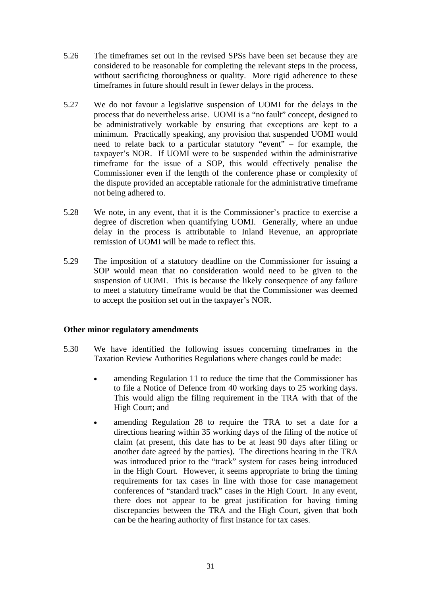- 5.26 The timeframes set out in the revised SPSs have been set because they are considered to be reasonable for completing the relevant steps in the process, without sacrificing thoroughness or quality. More rigid adherence to these timeframes in future should result in fewer delays in the process.
- 5.27 We do not favour a legislative suspension of UOMI for the delays in the process that do nevertheless arise. UOMI is a "no fault" concept, designed to be administratively workable by ensuring that exceptions are kept to a minimum. Practically speaking, any provision that suspended UOMI would need to relate back to a particular statutory "event" – for example, the taxpayer's NOR. If UOMI were to be suspended within the administrative timeframe for the issue of a SOP, this would effectively penalise the Commissioner even if the length of the conference phase or complexity of the dispute provided an acceptable rationale for the administrative timeframe not being adhered to.
- 5.28 We note, in any event, that it is the Commissioner's practice to exercise a degree of discretion when quantifying UOMI. Generally, where an undue delay in the process is attributable to Inland Revenue, an appropriate remission of UOMI will be made to reflect this.
- 5.29 The imposition of a statutory deadline on the Commissioner for issuing a SOP would mean that no consideration would need to be given to the suspension of UOMI. This is because the likely consequence of any failure to meet a statutory timeframe would be that the Commissioner was deemed to accept the position set out in the taxpayer's NOR.

## **Other minor regulatory amendments**

- 5.30 We have identified the following issues concerning timeframes in the Taxation Review Authorities Regulations where changes could be made:
	- amending Regulation 11 to reduce the time that the Commissioner has to file a Notice of Defence from 40 working days to 25 working days. This would align the filing requirement in the TRA with that of the High Court; and
	- amending Regulation 28 to require the TRA to set a date for a directions hearing within 35 working days of the filing of the notice of claim (at present, this date has to be at least 90 days after filing or another date agreed by the parties). The directions hearing in the TRA was introduced prior to the "track" system for cases being introduced in the High Court. However, it seems appropriate to bring the timing requirements for tax cases in line with those for case management conferences of "standard track" cases in the High Court. In any event, there does not appear to be great justification for having timing discrepancies between the TRA and the High Court, given that both can be the hearing authority of first instance for tax cases.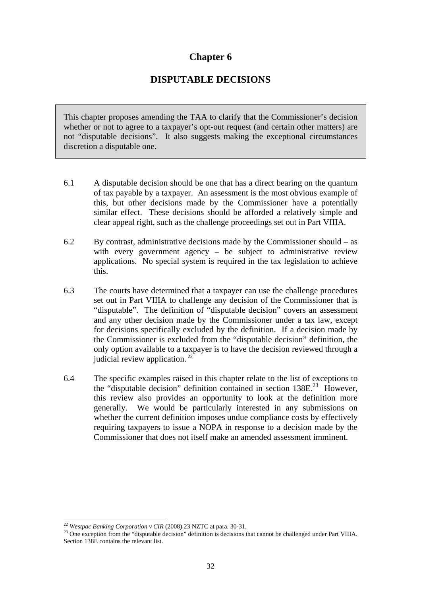# **Chapter 6**

# **DISPUTABLE DECISIONS**

This chapter proposes amending the TAA to clarify that the Commissioner's decision whether or not to agree to a taxpayer's opt-out request (and certain other matters) are not "disputable decisions". It also suggests making the exceptional circumstances discretion a disputable one.

- 6.1 A disputable decision should be one that has a direct bearing on the quantum of tax payable by a taxpayer. An assessment is the most obvious example of this, but other decisions made by the Commissioner have a potentially similar effect. These decisions should be afforded a relatively simple and clear appeal right, such as the challenge proceedings set out in Part VIIIA.
- 6.2 By contrast, administrative decisions made by the Commissioner should as with every government agency – be subject to administrative review applications. No special system is required in the tax legislation to achieve this.
- 6.3 The courts have determined that a taxpayer can use the challenge procedures set out in Part VIIIA to challenge any decision of the Commissioner that is "disputable". The definition of "disputable decision" covers an assessment and any other decision made by the Commissioner under a tax law, except for decisions specifically excluded by the definition. If a decision made by the Commissioner is excluded from the "disputable decision" definition, the only option available to a taxpayer is to have the decision reviewed through a judicial review application.<sup>22</sup>
- 6.4 The specific examples raised in this chapter relate to the list of exceptions to the "disputable decision" definition contained in section 138E.23 However, this review also provides an opportunity to look at the definition more generally. We would be particularly interested in any submissions on whether the current definition imposes undue compliance costs by effectively requiring taxpayers to issue a NOPA in response to a decision made by the Commissioner that does not itself make an amended assessment imminent.

<sup>&</sup>lt;sup>22</sup> Westpac Banking Corporation v CIR (2008) 23 NZTC at para. 30-31.

<sup>&</sup>lt;sup>23</sup> One exception from the "disputable decision" definition is decisions that cannot be challenged under Part VIIIA. Section 138E contains the relevant list.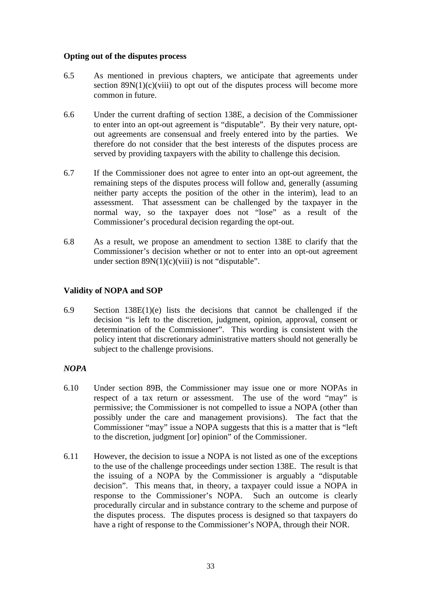### **Opting out of the disputes process**

- 6.5 As mentioned in previous chapters, we anticipate that agreements under section  $89N(1)(c)(viii)$  to opt out of the disputes process will become more common in future.
- 6.6 Under the current drafting of section 138E, a decision of the Commissioner to enter into an opt-out agreement is "disputable". By their very nature, optout agreements are consensual and freely entered into by the parties. We therefore do not consider that the best interests of the disputes process are served by providing taxpayers with the ability to challenge this decision.
- 6.7 If the Commissioner does not agree to enter into an opt-out agreement, the remaining steps of the disputes process will follow and, generally (assuming neither party accepts the position of the other in the interim), lead to an assessment. That assessment can be challenged by the taxpayer in the normal way, so the taxpayer does not "lose" as a result of the Commissioner's procedural decision regarding the opt-out.
- 6.8 As a result, we propose an amendment to section 138E to clarify that the Commissioner's decision whether or not to enter into an opt-out agreement under section  $89N(1)(c)(viii)$  is not "disputable".

## **Validity of NOPA and SOP**

6.9 Section 138E(1)(e) lists the decisions that cannot be challenged if the decision "is left to the discretion, judgment, opinion, approval, consent or determination of the Commissioner". This wording is consistent with the policy intent that discretionary administrative matters should not generally be subject to the challenge provisions.

## *NOPA*

- 6.10 Under section 89B, the Commissioner may issue one or more NOPAs in respect of a tax return or assessment. The use of the word "may" is permissive; the Commissioner is not compelled to issue a NOPA (other than possibly under the care and management provisions). The fact that the Commissioner "may" issue a NOPA suggests that this is a matter that is "left to the discretion, judgment [or] opinion" of the Commissioner.
- 6.11 However, the decision to issue a NOPA is not listed as one of the exceptions to the use of the challenge proceedings under section 138E. The result is that the issuing of a NOPA by the Commissioner is arguably a "disputable decision". This means that, in theory, a taxpayer could issue a NOPA in response to the Commissioner's NOPA. Such an outcome is clearly procedurally circular and in substance contrary to the scheme and purpose of the disputes process. The disputes process is designed so that taxpayers do have a right of response to the Commissioner's NOPA, through their NOR.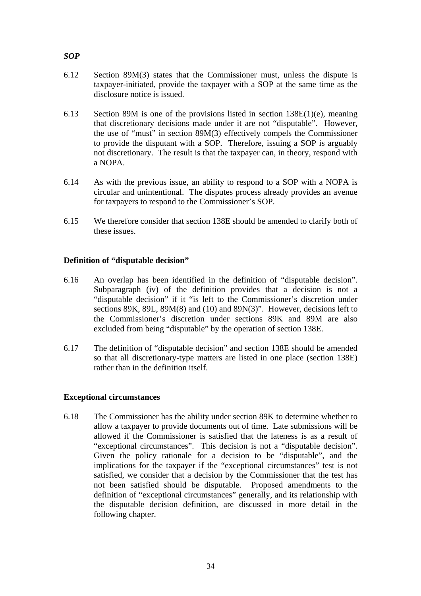## *SOP*

- 6.12 Section 89M(3) states that the Commissioner must, unless the dispute is taxpayer-initiated, provide the taxpayer with a SOP at the same time as the disclosure notice is issued.
- 6.13 Section 89M is one of the provisions listed in section 138E(1)(e), meaning that discretionary decisions made under it are not "disputable". However, the use of "must" in section 89M(3) effectively compels the Commissioner to provide the disputant with a SOP. Therefore, issuing a SOP is arguably not discretionary. The result is that the taxpayer can, in theory, respond with a NOPA.
- 6.14 As with the previous issue, an ability to respond to a SOP with a NOPA is circular and unintentional. The disputes process already provides an avenue for taxpayers to respond to the Commissioner's SOP.
- 6.15 We therefore consider that section 138E should be amended to clarify both of these issues.

## **Definition of "disputable decision"**

- 6.16 An overlap has been identified in the definition of "disputable decision". Subparagraph (iv) of the definition provides that a decision is not a "disputable decision" if it "is left to the Commissioner's discretion under sections 89K, 89L, 89M(8) and (10) and 89N(3)". However, decisions left to the Commissioner's discretion under sections 89K and 89M are also excluded from being "disputable" by the operation of section 138E.
- 6.17 The definition of "disputable decision" and section 138E should be amended so that all discretionary-type matters are listed in one place (section 138E) rather than in the definition itself.

#### **Exceptional circumstances**

6.18 The Commissioner has the ability under section 89K to determine whether to allow a taxpayer to provide documents out of time. Late submissions will be allowed if the Commissioner is satisfied that the lateness is as a result of "exceptional circumstances". This decision is not a "disputable decision". Given the policy rationale for a decision to be "disputable", and the implications for the taxpayer if the "exceptional circumstances" test is not satisfied, we consider that a decision by the Commissioner that the test has not been satisfied should be disputable. Proposed amendments to the definition of "exceptional circumstances" generally, and its relationship with the disputable decision definition, are discussed in more detail in the following chapter.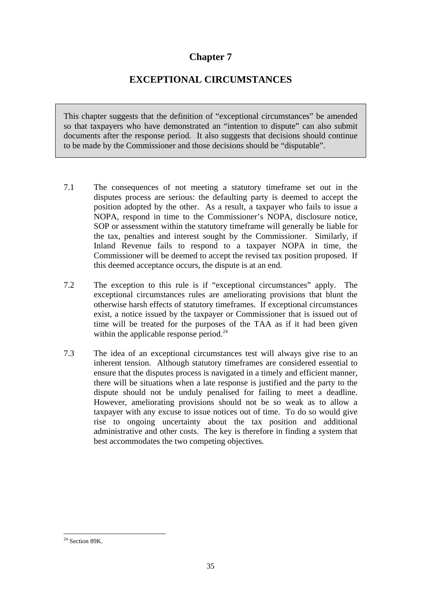# **Chapter 7**

# **EXCEPTIONAL CIRCUMSTANCES**

This chapter suggests that the definition of "exceptional circumstances" be amended so that taxpayers who have demonstrated an "intention to dispute" can also submit documents after the response period. It also suggests that decisions should continue to be made by the Commissioner and those decisions should be "disputable".

- 7.1 The consequences of not meeting a statutory timeframe set out in the disputes process are serious: the defaulting party is deemed to accept the position adopted by the other. As a result, a taxpayer who fails to issue a NOPA, respond in time to the Commissioner's NOPA, disclosure notice, SOP or assessment within the statutory timeframe will generally be liable for the tax, penalties and interest sought by the Commissioner. Similarly, if Inland Revenue fails to respond to a taxpayer NOPA in time, the Commissioner will be deemed to accept the revised tax position proposed. If this deemed acceptance occurs, the dispute is at an end.
- 7.2 The exception to this rule is if "exceptional circumstances" apply. The exceptional circumstances rules are ameliorating provisions that blunt the otherwise harsh effects of statutory timeframes. If exceptional circumstances exist, a notice issued by the taxpayer or Commissioner that is issued out of time will be treated for the purposes of the TAA as if it had been given within the applicable response period.<sup>24</sup>
- 7.3 The idea of an exceptional circumstances test will always give rise to an inherent tension. Although statutory timeframes are considered essential to ensure that the disputes process is navigated in a timely and efficient manner, there will be situations when a late response is justified and the party to the dispute should not be unduly penalised for failing to meet a deadline. However, ameliorating provisions should not be so weak as to allow a taxpayer with any excuse to issue notices out of time. To do so would give rise to ongoing uncertainty about the tax position and additional administrative and other costs. The key is therefore in finding a system that best accommodates the two competing objectives.

 $24$  Section 89K.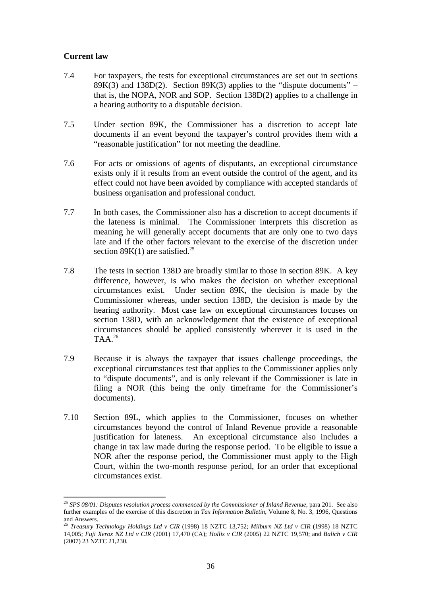## **Current law**

- 7.4 For taxpayers, the tests for exceptional circumstances are set out in sections  $89K(3)$  and  $138D(2)$ . Section  $89K(3)$  applies to the "dispute documents" – that is, the NOPA, NOR and SOP. Section 138D(2) applies to a challenge in a hearing authority to a disputable decision.
- 7.5 Under section 89K, the Commissioner has a discretion to accept late documents if an event beyond the taxpayer's control provides them with a "reasonable justification" for not meeting the deadline.
- 7.6 For acts or omissions of agents of disputants, an exceptional circumstance exists only if it results from an event outside the control of the agent, and its effect could not have been avoided by compliance with accepted standards of business organisation and professional conduct.
- 7.7 In both cases, the Commissioner also has a discretion to accept documents if the lateness is minimal. The Commissioner interprets this discretion as meaning he will generally accept documents that are only one to two days late and if the other factors relevant to the exercise of the discretion under section  $89K(1)$  are satisfied.<sup>25</sup>
- 7.8 The tests in section 138D are broadly similar to those in section 89K. A key difference, however, is who makes the decision on whether exceptional circumstances exist. Under section 89K, the decision is made by the Commissioner whereas, under section 138D, the decision is made by the hearing authority. Most case law on exceptional circumstances focuses on section 138D, with an acknowledgement that the existence of exceptional circumstances should be applied consistently wherever it is used in the TAA.26
- 7.9 Because it is always the taxpayer that issues challenge proceedings, the exceptional circumstances test that applies to the Commissioner applies only to "dispute documents", and is only relevant if the Commissioner is late in filing a NOR (this being the only timeframe for the Commissioner's documents).
- 7.10 Section 89L, which applies to the Commissioner, focuses on whether circumstances beyond the control of Inland Revenue provide a reasonable justification for lateness. An exceptional circumstance also includes a change in tax law made during the response period. To be eligible to issue a NOR after the response period, the Commissioner must apply to the High Court, within the two-month response period, for an order that exceptional circumstances exist.

<sup>25</sup> *SPS 08/01: Disputes resolution process commenced by the Commissioner of Inland Revenue*, para 201. See also further examples of the exercise of this discretion in *Tax Information Bulletin*, Volume 8, No. 3, 1996, Questions and Answers.

<sup>26</sup> *Treasury Technology Holdings Ltd v CIR* (1998) 18 NZTC 13,752; *Milburn NZ Ltd v CIR* (1998) 18 NZTC 14,005; *Fuji Xerox NZ Ltd v CIR* (2001) 17,470 (CA); *Hollis v CIR* (2005) 22 NZTC 19,570; and *Balich v CIR* (2007) 23 NZTC 21,230.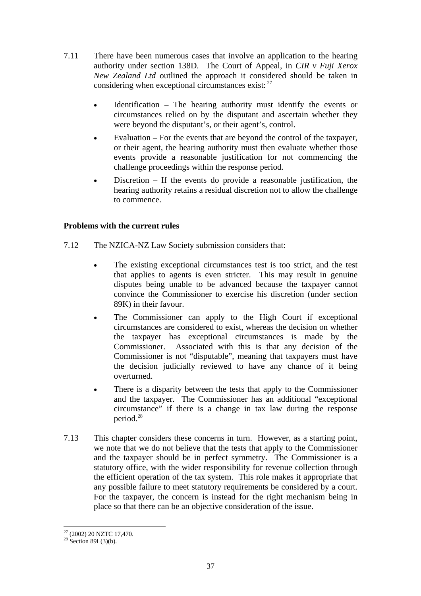- 7.11 There have been numerous cases that involve an application to the hearing authority under section 138D. The Court of Appeal, in *CIR v Fuji Xerox New Zealand Ltd* outlined the approach it considered should be taken in considering when exceptional circumstances exist:  $27$ 
	- Identification The hearing authority must identify the events or circumstances relied on by the disputant and ascertain whether they were beyond the disputant's, or their agent's, control.
	- Evaluation For the events that are beyond the control of the taxpayer, or their agent, the hearing authority must then evaluate whether those events provide a reasonable justification for not commencing the challenge proceedings within the response period.
	- Discretion  $-$  If the events do provide a reasonable justification, the hearing authority retains a residual discretion not to allow the challenge to commence.

## **Problems with the current rules**

- 7.12 The NZICA-NZ Law Society submission considers that:
	- The existing exceptional circumstances test is too strict, and the test that applies to agents is even stricter. This may result in genuine disputes being unable to be advanced because the taxpayer cannot convince the Commissioner to exercise his discretion (under section 89K) in their favour.
	- The Commissioner can apply to the High Court if exceptional circumstances are considered to exist, whereas the decision on whether the taxpayer has exceptional circumstances is made by the Commissioner. Associated with this is that any decision of the Commissioner is not "disputable", meaning that taxpayers must have the decision judicially reviewed to have any chance of it being overturned.
	- There is a disparity between the tests that apply to the Commissioner and the taxpayer. The Commissioner has an additional "exceptional circumstance" if there is a change in tax law during the response period.<sup>28</sup>
- 7.13 This chapter considers these concerns in turn. However, as a starting point, we note that we do not believe that the tests that apply to the Commissioner and the taxpayer should be in perfect symmetry. The Commissioner is a statutory office, with the wider responsibility for revenue collection through the efficient operation of the tax system. This role makes it appropriate that any possible failure to meet statutory requirements be considered by a court. For the taxpayer, the concern is instead for the right mechanism being in place so that there can be an objective consideration of the issue.

 $\overline{a}$  $27$  (2002) 20 NZTC 17,470.

 $28$  Section 89L(3)(b).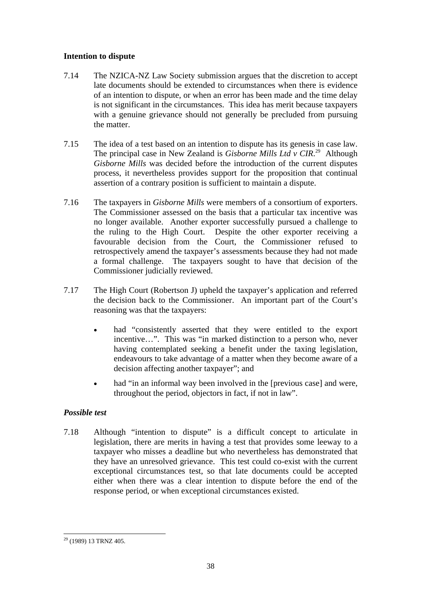## **Intention to dispute**

- 7.14 The NZICA-NZ Law Society submission argues that the discretion to accept late documents should be extended to circumstances when there is evidence of an intention to dispute, or when an error has been made and the time delay is not significant in the circumstances. This idea has merit because taxpayers with a genuine grievance should not generally be precluded from pursuing the matter.
- 7.15 The idea of a test based on an intention to dispute has its genesis in case law. The principal case in New Zealand is *Gisborne Mills Ltd v CIR*.<sup>29</sup> Although *Gisborne Mills* was decided before the introduction of the current disputes process, it nevertheless provides support for the proposition that continual assertion of a contrary position is sufficient to maintain a dispute.
- 7.16 The taxpayers in *Gisborne Mills* were members of a consortium of exporters. The Commissioner assessed on the basis that a particular tax incentive was no longer available. Another exporter successfully pursued a challenge to the ruling to the High Court. Despite the other exporter receiving a favourable decision from the Court, the Commissioner refused to retrospectively amend the taxpayer's assessments because they had not made a formal challenge. The taxpayers sought to have that decision of the Commissioner judicially reviewed.
- 7.17 The High Court (Robertson J) upheld the taxpayer's application and referred the decision back to the Commissioner. An important part of the Court's reasoning was that the taxpayers:
	- had "consistently asserted that they were entitled to the export incentive…". This was "in marked distinction to a person who, never having contemplated seeking a benefit under the taxing legislation, endeavours to take advantage of a matter when they become aware of a decision affecting another taxpayer"; and
	- had "in an informal way been involved in the [previous case] and were, throughout the period, objectors in fact, if not in law".

## *Possible test*

7.18 Although "intention to dispute" is a difficult concept to articulate in legislation, there are merits in having a test that provides some leeway to a taxpayer who misses a deadline but who nevertheless has demonstrated that they have an unresolved grievance. This test could co-exist with the current exceptional circumstances test, so that late documents could be accepted either when there was a clear intention to dispute before the end of the response period, or when exceptional circumstances existed.

 $\overline{a}$ 29 (1989) 13 TRNZ 405.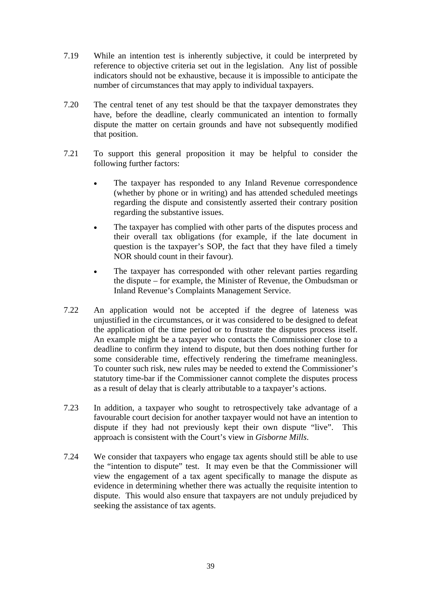- 7.19 While an intention test is inherently subjective, it could be interpreted by reference to objective criteria set out in the legislation. Any list of possible indicators should not be exhaustive, because it is impossible to anticipate the number of circumstances that may apply to individual taxpayers.
- 7.20 The central tenet of any test should be that the taxpayer demonstrates they have, before the deadline, clearly communicated an intention to formally dispute the matter on certain grounds and have not subsequently modified that position.
- 7.21 To support this general proposition it may be helpful to consider the following further factors:
	- The taxpayer has responded to any Inland Revenue correspondence (whether by phone or in writing) and has attended scheduled meetings regarding the dispute and consistently asserted their contrary position regarding the substantive issues.
	- The taxpayer has complied with other parts of the disputes process and their overall tax obligations (for example, if the late document in question is the taxpayer's SOP, the fact that they have filed a timely NOR should count in their favour).
	- The taxpayer has corresponded with other relevant parties regarding the dispute – for example, the Minister of Revenue, the Ombudsman or Inland Revenue's Complaints Management Service.
- 7.22 An application would not be accepted if the degree of lateness was unjustified in the circumstances, or it was considered to be designed to defeat the application of the time period or to frustrate the disputes process itself. An example might be a taxpayer who contacts the Commissioner close to a deadline to confirm they intend to dispute, but then does nothing further for some considerable time, effectively rendering the timeframe meaningless. To counter such risk, new rules may be needed to extend the Commissioner's statutory time-bar if the Commissioner cannot complete the disputes process as a result of delay that is clearly attributable to a taxpayer's actions.
- 7.23 In addition, a taxpayer who sought to retrospectively take advantage of a favourable court decision for another taxpayer would not have an intention to dispute if they had not previously kept their own dispute "live". This approach is consistent with the Court's view in *Gisborne Mills*.
- 7.24 We consider that taxpayers who engage tax agents should still be able to use the "intention to dispute" test. It may even be that the Commissioner will view the engagement of a tax agent specifically to manage the dispute as evidence in determining whether there was actually the requisite intention to dispute. This would also ensure that taxpayers are not unduly prejudiced by seeking the assistance of tax agents.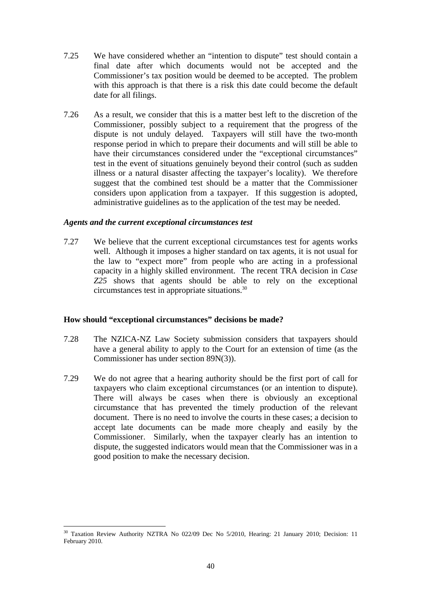- 7.25 We have considered whether an "intention to dispute" test should contain a final date after which documents would not be accepted and the Commissioner's tax position would be deemed to be accepted. The problem with this approach is that there is a risk this date could become the default date for all filings.
- 7.26 As a result, we consider that this is a matter best left to the discretion of the Commissioner, possibly subject to a requirement that the progress of the dispute is not unduly delayed. Taxpayers will still have the two-month response period in which to prepare their documents and will still be able to have their circumstances considered under the "exceptional circumstances" test in the event of situations genuinely beyond their control (such as sudden illness or a natural disaster affecting the taxpayer's locality). We therefore suggest that the combined test should be a matter that the Commissioner considers upon application from a taxpayer. If this suggestion is adopted, administrative guidelines as to the application of the test may be needed.

#### *Agents and the current exceptional circumstances test*

7.27 We believe that the current exceptional circumstances test for agents works well. Although it imposes a higher standard on tax agents, it is not usual for the law to "expect more" from people who are acting in a professional capacity in a highly skilled environment. The recent TRA decision in *Case Z25* shows that agents should be able to rely on the exceptional circumstances test in appropriate situations.30

#### **How should "exceptional circumstances" decisions be made?**

- 7.28 The NZICA-NZ Law Society submission considers that taxpayers should have a general ability to apply to the Court for an extension of time (as the Commissioner has under section 89N(3)).
- 7.29 We do not agree that a hearing authority should be the first port of call for taxpayers who claim exceptional circumstances (or an intention to dispute). There will always be cases when there is obviously an exceptional circumstance that has prevented the timely production of the relevant document. There is no need to involve the courts in these cases; a decision to accept late documents can be made more cheaply and easily by the Commissioner. Similarly, when the taxpayer clearly has an intention to dispute, the suggested indicators would mean that the Commissioner was in a good position to make the necessary decision.

 $\overline{a}$ <sup>30</sup> Taxation Review Authority NZTRA No 022/09 Dec No 5/2010, Hearing: 21 January 2010; Decision: 11 February 2010.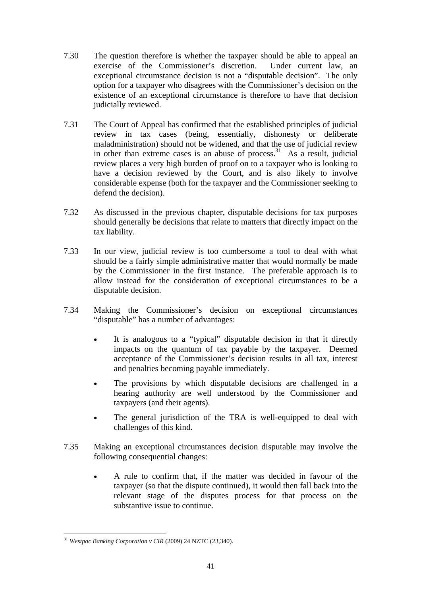- 7.30 The question therefore is whether the taxpayer should be able to appeal an exercise of the Commissioner's discretion. Under current law, an exceptional circumstance decision is not a "disputable decision". The only option for a taxpayer who disagrees with the Commissioner's decision on the existence of an exceptional circumstance is therefore to have that decision judicially reviewed.
- 7.31 The Court of Appeal has confirmed that the established principles of judicial review in tax cases (being, essentially, dishonesty or deliberate maladministration) should not be widened, and that the use of judicial review in other than extreme cases is an abuse of process.<sup>31</sup> As a result, judicial review places a very high burden of proof on to a taxpayer who is looking to have a decision reviewed by the Court, and is also likely to involve considerable expense (both for the taxpayer and the Commissioner seeking to defend the decision).
- 7.32 As discussed in the previous chapter, disputable decisions for tax purposes should generally be decisions that relate to matters that directly impact on the tax liability.
- 7.33 In our view, judicial review is too cumbersome a tool to deal with what should be a fairly simple administrative matter that would normally be made by the Commissioner in the first instance. The preferable approach is to allow instead for the consideration of exceptional circumstances to be a disputable decision.
- 7.34 Making the Commissioner's decision on exceptional circumstances "disputable" has a number of advantages:
	- It is analogous to a "typical" disputable decision in that it directly impacts on the quantum of tax payable by the taxpayer. Deemed acceptance of the Commissioner's decision results in all tax, interest and penalties becoming payable immediately.
	- The provisions by which disputable decisions are challenged in a hearing authority are well understood by the Commissioner and taxpayers (and their agents).
	- The general jurisdiction of the TRA is well-equipped to deal with challenges of this kind.
- 7.35 Making an exceptional circumstances decision disputable may involve the following consequential changes:
	- A rule to confirm that, if the matter was decided in favour of the taxpayer (so that the dispute continued), it would then fall back into the relevant stage of the disputes process for that process on the substantive issue to continue.

 $\overline{a}$ <sup>31</sup> *Westpac Banking Corporation v CIR* (2009) 24 NZTC (23,340).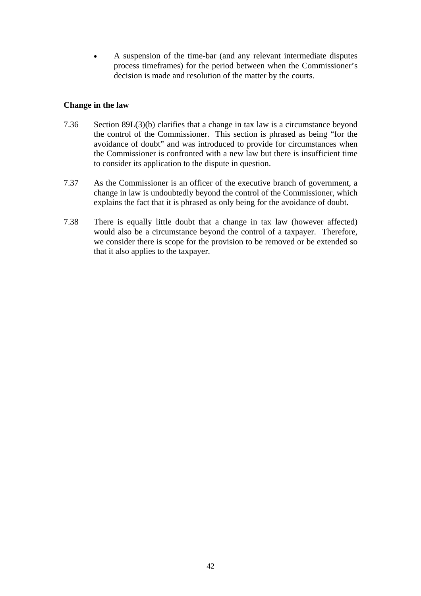• A suspension of the time-bar (and any relevant intermediate disputes process timeframes) for the period between when the Commissioner's decision is made and resolution of the matter by the courts.

### **Change in the law**

- 7.36 Section 89L(3)(b) clarifies that a change in tax law is a circumstance beyond the control of the Commissioner. This section is phrased as being "for the avoidance of doubt" and was introduced to provide for circumstances when the Commissioner is confronted with a new law but there is insufficient time to consider its application to the dispute in question.
- 7.37 As the Commissioner is an officer of the executive branch of government, a change in law is undoubtedly beyond the control of the Commissioner, which explains the fact that it is phrased as only being for the avoidance of doubt.
- 7.38 There is equally little doubt that a change in tax law (however affected) would also be a circumstance beyond the control of a taxpayer. Therefore, we consider there is scope for the provision to be removed or be extended so that it also applies to the taxpayer.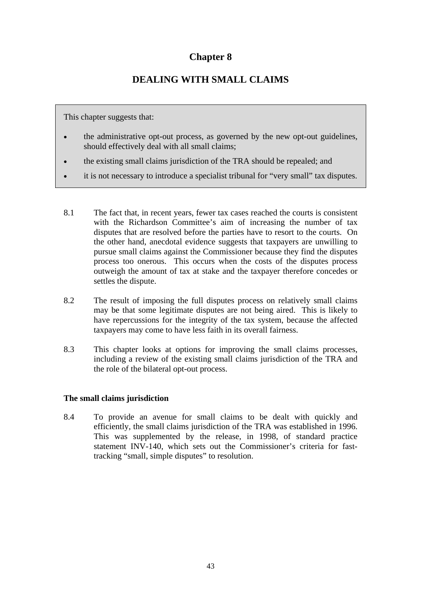# **Chapter 8**

# **DEALING WITH SMALL CLAIMS**

This chapter suggests that:

- the administrative opt-out process, as governed by the new opt-out guidelines, should effectively deal with all small claims;
- the existing small claims jurisdiction of the TRA should be repealed; and
- it is not necessary to introduce a specialist tribunal for "very small" tax disputes.
- 8.1 The fact that, in recent years, fewer tax cases reached the courts is consistent with the Richardson Committee's aim of increasing the number of tax disputes that are resolved before the parties have to resort to the courts. On the other hand, anecdotal evidence suggests that taxpayers are unwilling to pursue small claims against the Commissioner because they find the disputes process too onerous. This occurs when the costs of the disputes process outweigh the amount of tax at stake and the taxpayer therefore concedes or settles the dispute.
- 8.2 The result of imposing the full disputes process on relatively small claims may be that some legitimate disputes are not being aired. This is likely to have repercussions for the integrity of the tax system, because the affected taxpayers may come to have less faith in its overall fairness.
- 8.3 This chapter looks at options for improving the small claims processes, including a review of the existing small claims jurisdiction of the TRA and the role of the bilateral opt-out process.

#### **The small claims jurisdiction**

8.4 To provide an avenue for small claims to be dealt with quickly and efficiently, the small claims jurisdiction of the TRA was established in 1996. This was supplemented by the release, in 1998, of standard practice statement INV-140, which sets out the Commissioner's criteria for fasttracking "small, simple disputes" to resolution.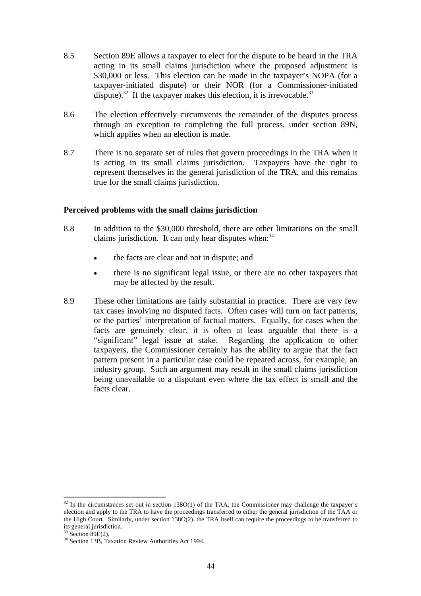- 8.5 Section 89E allows a taxpayer to elect for the dispute to be heard in the TRA acting in its small claims jurisdiction where the proposed adjustment is \$30,000 or less. This election can be made in the taxpayer's NOPA (for a taxpayer-initiated dispute) or their NOR (for a Commissioner-initiated dispute).<sup>32</sup> If the taxpayer makes this election, it is irrevocable.<sup>33</sup>
- 8.6 The election effectively circumvents the remainder of the disputes process through an exception to completing the full process, under section 89N, which applies when an election is made.
- 8.7 There is no separate set of rules that govern proceedings in the TRA when it is acting in its small claims jurisdiction. Taxpayers have the right to represent themselves in the general jurisdiction of the TRA, and this remains true for the small claims jurisdiction.

#### **Perceived problems with the small claims jurisdiction**

- 8.8 In addition to the \$30,000 threshold, there are other limitations on the small claims jurisdiction. It can only hear disputes when: $34$ 
	- the facts are clear and not in dispute; and
	- there is no significant legal issue, or there are no other taxpayers that may be affected by the result.
- 8.9 These other limitations are fairly substantial in practice. There are very few tax cases involving no disputed facts. Often cases will turn on fact patterns, or the parties' interpretation of factual matters. Equally, for cases when the facts are genuinely clear, it is often at least arguable that there is a "significant" legal issue at stake. Regarding the application to other taxpayers, the Commissioner certainly has the ability to argue that the fact pattern present in a particular case could be repeated across, for example, an industry group. Such an argument may result in the small claims jurisdiction being unavailable to a disputant even where the tax effect is small and the facts clear.

 $32$  In the circumstances set out in section 138O(1) of the TAA, the Commissioner may challenge the taxpayer's election and apply to the TRA to have the proceedings transferred to either the general jurisdiction of the TAA or the High Court. Similarly, under section 138O(2), the TRA itself can require the proceedings to be transferred to its general jurisdiction.

 $33$  Section  $\text{89E}(2)$ .

<sup>34</sup> Section 13B, Taxation Review Authorities Act 1994.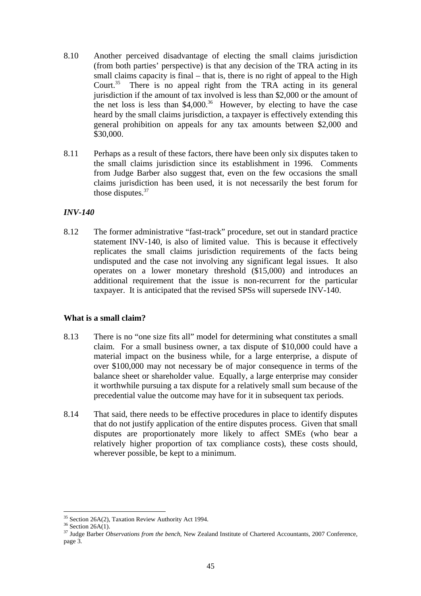- 8.10 Another perceived disadvantage of electing the small claims jurisdiction (from both parties' perspective) is that any decision of the TRA acting in its small claims capacity is final – that is, there is no right of appeal to the High Court.<sup>35</sup> There is no appeal right from the TRA acting in its general jurisdiction if the amount of tax involved is less than \$2,000 or the amount of the net loss is less than  $$4,000$ .<sup>36</sup> However, by electing to have the case heard by the small claims jurisdiction, a taxpayer is effectively extending this general prohibition on appeals for any tax amounts between \$2,000 and \$30,000.
- 8.11 Perhaps as a result of these factors, there have been only six disputes taken to the small claims jurisdiction since its establishment in 1996. Comments from Judge Barber also suggest that, even on the few occasions the small claims jurisdiction has been used, it is not necessarily the best forum for those disputes.<sup>37</sup>

## *INV-140*

8.12 The former administrative "fast-track" procedure, set out in standard practice statement INV-140, is also of limited value. This is because it effectively replicates the small claims jurisdiction requirements of the facts being undisputed and the case not involving any significant legal issues. It also operates on a lower monetary threshold (\$15,000) and introduces an additional requirement that the issue is non-recurrent for the particular taxpayer. It is anticipated that the revised SPSs will supersede INV-140.

#### **What is a small claim?**

- 8.13 There is no "one size fits all" model for determining what constitutes a small claim. For a small business owner, a tax dispute of \$10,000 could have a material impact on the business while, for a large enterprise, a dispute of over \$100,000 may not necessary be of major consequence in terms of the balance sheet or shareholder value. Equally, a large enterprise may consider it worthwhile pursuing a tax dispute for a relatively small sum because of the precedential value the outcome may have for it in subsequent tax periods.
- 8.14 That said, there needs to be effective procedures in place to identify disputes that do not justify application of the entire disputes process. Given that small disputes are proportionately more likely to affect SMEs (who bear a relatively higher proportion of tax compliance costs), these costs should, wherever possible, be kept to a minimum.

<sup>&</sup>lt;sup>35</sup> Section 26A(2), Taxation Review Authority Act 1994.<br><sup>36</sup> Section 26A(1).

<sup>&</sup>lt;sup>36</sup> Section 26A(1).<br><sup>37</sup> Judge Barber *Observations from the bench*, New Zealand Institute of Chartered Accountants, 2007 Conference, page 3.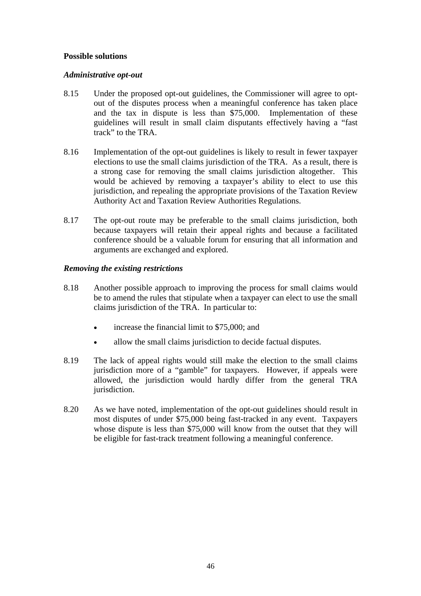## **Possible solutions**

### *Administrative opt-out*

- 8.15 Under the proposed opt-out guidelines, the Commissioner will agree to optout of the disputes process when a meaningful conference has taken place and the tax in dispute is less than \$75,000. Implementation of these guidelines will result in small claim disputants effectively having a "fast track" to the TRA.
- 8.16 Implementation of the opt-out guidelines is likely to result in fewer taxpayer elections to use the small claims jurisdiction of the TRA. As a result, there is a strong case for removing the small claims jurisdiction altogether. This would be achieved by removing a taxpayer's ability to elect to use this jurisdiction, and repealing the appropriate provisions of the Taxation Review Authority Act and Taxation Review Authorities Regulations.
- 8.17 The opt-out route may be preferable to the small claims jurisdiction, both because taxpayers will retain their appeal rights and because a facilitated conference should be a valuable forum for ensuring that all information and arguments are exchanged and explored.

## *Removing the existing restrictions*

- 8.18 Another possible approach to improving the process for small claims would be to amend the rules that stipulate when a taxpayer can elect to use the small claims jurisdiction of the TRA. In particular to:
	- increase the financial limit to \$75,000; and
	- allow the small claims jurisdiction to decide factual disputes.
- 8.19 The lack of appeal rights would still make the election to the small claims jurisdiction more of a "gamble" for taxpayers. However, if appeals were allowed, the jurisdiction would hardly differ from the general TRA jurisdiction.
- 8.20 As we have noted, implementation of the opt-out guidelines should result in most disputes of under \$75,000 being fast-tracked in any event. Taxpayers whose dispute is less than \$75,000 will know from the outset that they will be eligible for fast-track treatment following a meaningful conference.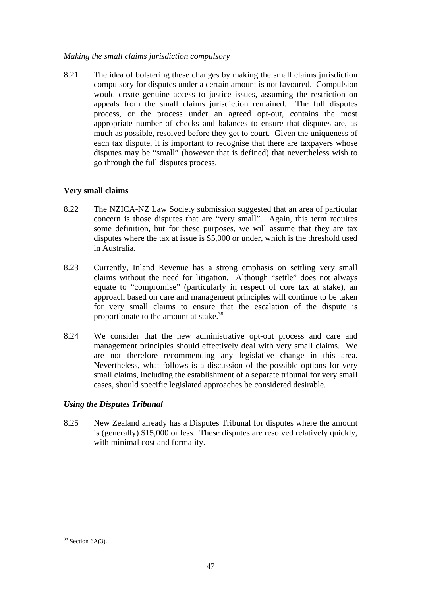### *Making the small claims jurisdiction compulsory*

8.21 The idea of bolstering these changes by making the small claims jurisdiction compulsory for disputes under a certain amount is not favoured. Compulsion would create genuine access to justice issues, assuming the restriction on appeals from the small claims jurisdiction remained. The full disputes process, or the process under an agreed opt-out, contains the most appropriate number of checks and balances to ensure that disputes are, as much as possible, resolved before they get to court. Given the uniqueness of each tax dispute, it is important to recognise that there are taxpayers whose disputes may be "small" (however that is defined) that nevertheless wish to go through the full disputes process.

## **Very small claims**

- 8.22 The NZICA-NZ Law Society submission suggested that an area of particular concern is those disputes that are "very small". Again, this term requires some definition, but for these purposes, we will assume that they are tax disputes where the tax at issue is \$5,000 or under, which is the threshold used in Australia.
- 8.23 Currently, Inland Revenue has a strong emphasis on settling very small claims without the need for litigation. Although "settle" does not always equate to "compromise" (particularly in respect of core tax at stake), an approach based on care and management principles will continue to be taken for very small claims to ensure that the escalation of the dispute is proportionate to the amount at stake.<sup>38</sup>
- 8.24 We consider that the new administrative opt-out process and care and management principles should effectively deal with very small claims. We are not therefore recommending any legislative change in this area. Nevertheless, what follows is a discussion of the possible options for very small claims, including the establishment of a separate tribunal for very small cases, should specific legislated approaches be considered desirable.

## *Using the Disputes Tribunal*

8.25 New Zealand already has a Disputes Tribunal for disputes where the amount is (generally) \$15,000 or less. These disputes are resolved relatively quickly, with minimal cost and formality.

 $\overline{a}$  $38$  Section 6A(3).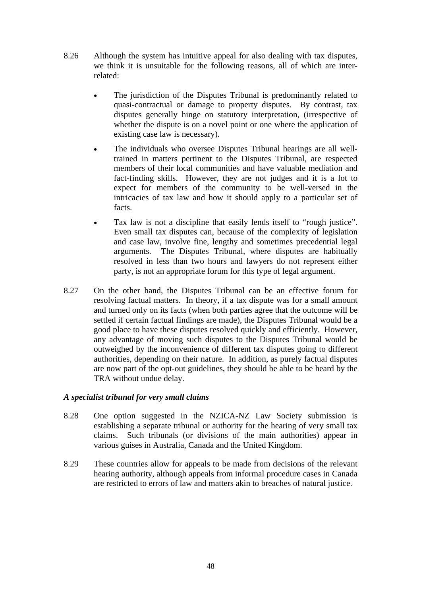- 8.26 Although the system has intuitive appeal for also dealing with tax disputes, we think it is unsuitable for the following reasons, all of which are interrelated:
	- The jurisdiction of the Disputes Tribunal is predominantly related to quasi-contractual or damage to property disputes. By contrast, tax disputes generally hinge on statutory interpretation, (irrespective of whether the dispute is on a novel point or one where the application of existing case law is necessary).
	- The individuals who oversee Disputes Tribunal hearings are all welltrained in matters pertinent to the Disputes Tribunal, are respected members of their local communities and have valuable mediation and fact-finding skills. However, they are not judges and it is a lot to expect for members of the community to be well-versed in the intricacies of tax law and how it should apply to a particular set of facts.
	- Tax law is not a discipline that easily lends itself to "rough justice". Even small tax disputes can, because of the complexity of legislation and case law, involve fine, lengthy and sometimes precedential legal arguments. The Disputes Tribunal, where disputes are habitually resolved in less than two hours and lawyers do not represent either party, is not an appropriate forum for this type of legal argument.
- 8.27 On the other hand, the Disputes Tribunal can be an effective forum for resolving factual matters. In theory, if a tax dispute was for a small amount and turned only on its facts (when both parties agree that the outcome will be settled if certain factual findings are made), the Disputes Tribunal would be a good place to have these disputes resolved quickly and efficiently. However, any advantage of moving such disputes to the Disputes Tribunal would be outweighed by the inconvenience of different tax disputes going to different authorities, depending on their nature. In addition, as purely factual disputes are now part of the opt-out guidelines, they should be able to be heard by the TRA without undue delay.

#### *A specialist tribunal for very small claims*

- 8.28 One option suggested in the NZICA-NZ Law Society submission is establishing a separate tribunal or authority for the hearing of very small tax claims. Such tribunals (or divisions of the main authorities) appear in various guises in Australia, Canada and the United Kingdom.
- 8.29 These countries allow for appeals to be made from decisions of the relevant hearing authority, although appeals from informal procedure cases in Canada are restricted to errors of law and matters akin to breaches of natural justice.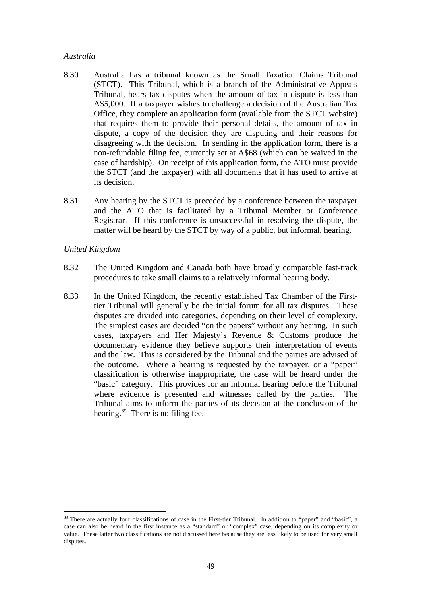#### *Australia*

- 8.30 Australia has a tribunal known as the Small Taxation Claims Tribunal (STCT). This Tribunal, which is a branch of the Administrative Appeals Tribunal, hears tax disputes when the amount of tax in dispute is less than A\$5,000. If a taxpayer wishes to challenge a decision of the Australian Tax Office, they complete an application form (available from the STCT website) that requires them to provide their personal details, the amount of tax in dispute, a copy of the decision they are disputing and their reasons for disagreeing with the decision. In sending in the application form, there is a non-refundable filing fee, currently set at A\$68 (which can be waived in the case of hardship). On receipt of this application form, the ATO must provide the STCT (and the taxpayer) with all documents that it has used to arrive at its decision.
- 8.31 Any hearing by the STCT is preceded by a conference between the taxpayer and the ATO that is facilitated by a Tribunal Member or Conference Registrar. If this conference is unsuccessful in resolving the dispute, the matter will be heard by the STCT by way of a public, but informal, hearing.

#### *United Kingdom*

- 8.32 The United Kingdom and Canada both have broadly comparable fast-track procedures to take small claims to a relatively informal hearing body.
- 8.33 In the United Kingdom, the recently established Tax Chamber of the Firsttier Tribunal will generally be the initial forum for all tax disputes. These disputes are divided into categories, depending on their level of complexity. The simplest cases are decided "on the papers" without any hearing. In such cases, taxpayers and Her Majesty's Revenue & Customs produce the documentary evidence they believe supports their interpretation of events and the law. This is considered by the Tribunal and the parties are advised of the outcome. Where a hearing is requested by the taxpayer, or a "paper" classification is otherwise inappropriate, the case will be heard under the "basic" category. This provides for an informal hearing before the Tribunal where evidence is presented and witnesses called by the parties. The Tribunal aims to inform the parties of its decision at the conclusion of the hearing.<sup>39</sup> There is no filing fee.

<sup>&</sup>lt;sup>39</sup> There are actually four classifications of case in the First-tier Tribunal. In addition to "paper" and "basic", a case can also be heard in the first instance as a "standard" or "complex" case, depending on its complexity or value. These latter two classifications are not discussed here because they are less likely to be used for very small disputes.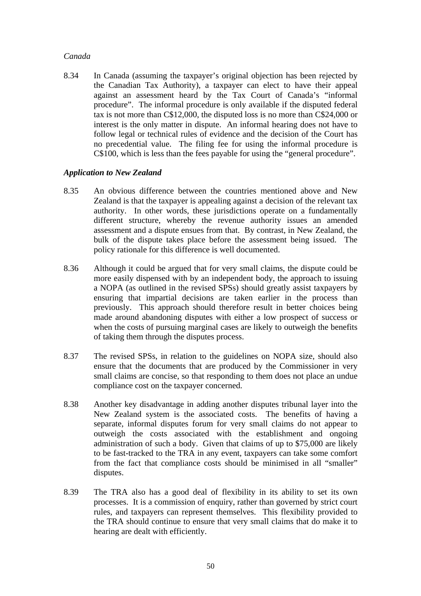### *Canada*

8.34 In Canada (assuming the taxpayer's original objection has been rejected by the Canadian Tax Authority), a taxpayer can elect to have their appeal against an assessment heard by the Tax Court of Canada's "informal procedure". The informal procedure is only available if the disputed federal tax is not more than C\$12,000, the disputed loss is no more than C\$24,000 or interest is the only matter in dispute. An informal hearing does not have to follow legal or technical rules of evidence and the decision of the Court has no precedential value. The filing fee for using the informal procedure is C\$100, which is less than the fees payable for using the "general procedure".

## *Application to New Zealand*

- 8.35 An obvious difference between the countries mentioned above and New Zealand is that the taxpayer is appealing against a decision of the relevant tax authority. In other words, these jurisdictions operate on a fundamentally different structure, whereby the revenue authority issues an amended assessment and a dispute ensues from that. By contrast, in New Zealand, the bulk of the dispute takes place before the assessment being issued. The policy rationale for this difference is well documented.
- 8.36 Although it could be argued that for very small claims, the dispute could be more easily dispensed with by an independent body, the approach to issuing a NOPA (as outlined in the revised SPSs) should greatly assist taxpayers by ensuring that impartial decisions are taken earlier in the process than previously. This approach should therefore result in better choices being made around abandoning disputes with either a low prospect of success or when the costs of pursuing marginal cases are likely to outweigh the benefits of taking them through the disputes process.
- 8.37 The revised SPSs, in relation to the guidelines on NOPA size, should also ensure that the documents that are produced by the Commissioner in very small claims are concise, so that responding to them does not place an undue compliance cost on the taxpayer concerned.
- 8.38 Another key disadvantage in adding another disputes tribunal layer into the New Zealand system is the associated costs. The benefits of having a separate, informal disputes forum for very small claims do not appear to outweigh the costs associated with the establishment and ongoing administration of such a body. Given that claims of up to \$75,000 are likely to be fast-tracked to the TRA in any event, taxpayers can take some comfort from the fact that compliance costs should be minimised in all "smaller" disputes.
- 8.39 The TRA also has a good deal of flexibility in its ability to set its own processes. It is a commission of enquiry, rather than governed by strict court rules, and taxpayers can represent themselves. This flexibility provided to the TRA should continue to ensure that very small claims that do make it to hearing are dealt with efficiently.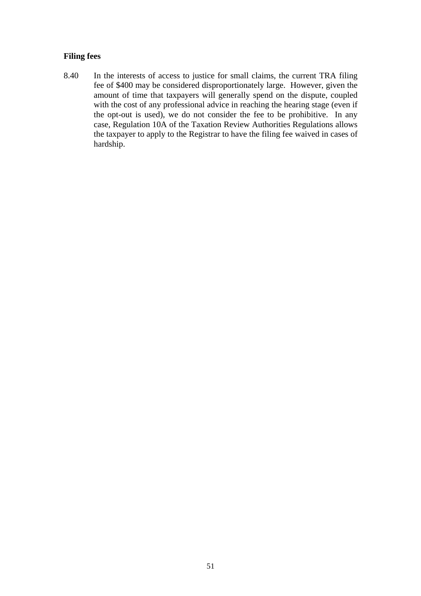## **Filing fees**

8.40 In the interests of access to justice for small claims, the current TRA filing fee of \$400 may be considered disproportionately large. However, given the amount of time that taxpayers will generally spend on the dispute, coupled with the cost of any professional advice in reaching the hearing stage (even if the opt-out is used), we do not consider the fee to be prohibitive. In any case, Regulation 10A of the Taxation Review Authorities Regulations allows the taxpayer to apply to the Registrar to have the filing fee waived in cases of hardship.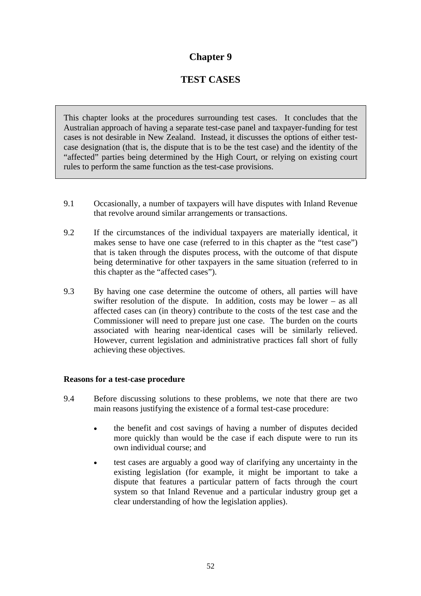# **Chapter 9**

# **TEST CASES**

This chapter looks at the procedures surrounding test cases. It concludes that the Australian approach of having a separate test-case panel and taxpayer-funding for test cases is not desirable in New Zealand. Instead, it discusses the options of either testcase designation (that is, the dispute that is to be the test case) and the identity of the "affected" parties being determined by the High Court, or relying on existing court rules to perform the same function as the test-case provisions.

- 9.1 Occasionally, a number of taxpayers will have disputes with Inland Revenue that revolve around similar arrangements or transactions.
- 9.2 If the circumstances of the individual taxpayers are materially identical, it makes sense to have one case (referred to in this chapter as the "test case") that is taken through the disputes process, with the outcome of that dispute being determinative for other taxpayers in the same situation (referred to in this chapter as the "affected cases").
- 9.3 By having one case determine the outcome of others, all parties will have swifter resolution of the dispute. In addition, costs may be lower – as all affected cases can (in theory) contribute to the costs of the test case and the Commissioner will need to prepare just one case. The burden on the courts associated with hearing near-identical cases will be similarly relieved. However, current legislation and administrative practices fall short of fully achieving these objectives.

#### **Reasons for a test-case procedure**

- 9.4 Before discussing solutions to these problems, we note that there are two main reasons justifying the existence of a formal test-case procedure:
	- the benefit and cost savings of having a number of disputes decided more quickly than would be the case if each dispute were to run its own individual course; and
	- test cases are arguably a good way of clarifying any uncertainty in the existing legislation (for example, it might be important to take a dispute that features a particular pattern of facts through the court system so that Inland Revenue and a particular industry group get a clear understanding of how the legislation applies).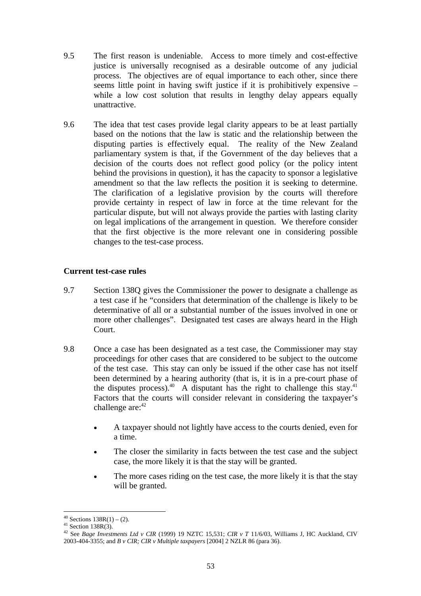- 9.5 The first reason is undeniable. Access to more timely and cost-effective justice is universally recognised as a desirable outcome of any judicial process. The objectives are of equal importance to each other, since there seems little point in having swift justice if it is prohibitively expensive – while a low cost solution that results in lengthy delay appears equally unattractive.
- 9.6 The idea that test cases provide legal clarity appears to be at least partially based on the notions that the law is static and the relationship between the disputing parties is effectively equal. The reality of the New Zealand parliamentary system is that, if the Government of the day believes that a decision of the courts does not reflect good policy (or the policy intent behind the provisions in question), it has the capacity to sponsor a legislative amendment so that the law reflects the position it is seeking to determine. The clarification of a legislative provision by the courts will therefore provide certainty in respect of law in force at the time relevant for the particular dispute, but will not always provide the parties with lasting clarity on legal implications of the arrangement in question. We therefore consider that the first objective is the more relevant one in considering possible changes to the test-case process.

## **Current test-case rules**

- 9.7 Section 138Q gives the Commissioner the power to designate a challenge as a test case if he "considers that determination of the challenge is likely to be determinative of all or a substantial number of the issues involved in one or more other challenges". Designated test cases are always heard in the High Court.
- 9.8 Once a case has been designated as a test case, the Commissioner may stay proceedings for other cases that are considered to be subject to the outcome of the test case. This stay can only be issued if the other case has not itself been determined by a hearing authority (that is, it is in a pre-court phase of the disputes process).<sup>40</sup> A disputant has the right to challenge this stay.<sup>41</sup> Factors that the courts will consider relevant in considering the taxpayer's challenge are: $42$ 
	- A taxpayer should not lightly have access to the courts denied, even for a time.
	- The closer the similarity in facts between the test case and the subject case, the more likely it is that the stay will be granted.
	- The more cases riding on the test case, the more likely it is that the stay will be granted.

 $40$  Sections  $138R(1) - (2)$ .

 $41$  Section 138R(3).

<sup>42</sup> See *Bage Investments Ltd v CIR* (1999) 19 NZTC 15,531; *CIR v T* 11/6/03, Williams J, HC Auckland, CIV 2003-404-3355; and *B v CIR; CIR v Multiple taxpayers* [2004] 2 NZLR 86 (para 36).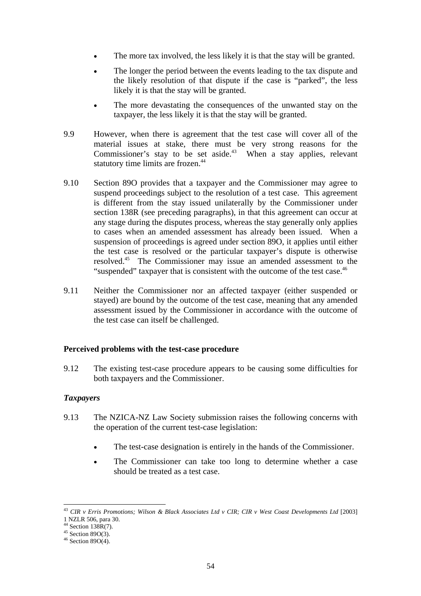- The more tax involved, the less likely it is that the stay will be granted.
- The longer the period between the events leading to the tax dispute and the likely resolution of that dispute if the case is "parked", the less likely it is that the stay will be granted.
- The more devastating the consequences of the unwanted stay on the taxpayer, the less likely it is that the stay will be granted.
- 9.9 However, when there is agreement that the test case will cover all of the material issues at stake, there must be very strong reasons for the Commissioner's stay to be set aside.<sup>43</sup> When a stay applies, relevant statutory time limits are frozen.<sup>44</sup>
- 9.10 Section 89O provides that a taxpayer and the Commissioner may agree to suspend proceedings subject to the resolution of a test case. This agreement is different from the stay issued unilaterally by the Commissioner under section 138R (see preceding paragraphs), in that this agreement can occur at any stage during the disputes process, whereas the stay generally only applies to cases when an amended assessment has already been issued. When a suspension of proceedings is agreed under section 89O, it applies until either the test case is resolved or the particular taxpayer's dispute is otherwise resolved.45 The Commissioner may issue an amended assessment to the "suspended" taxpayer that is consistent with the outcome of the test case.<sup>46</sup>
- 9.11 Neither the Commissioner nor an affected taxpayer (either suspended or stayed) are bound by the outcome of the test case, meaning that any amended assessment issued by the Commissioner in accordance with the outcome of the test case can itself be challenged.

#### **Perceived problems with the test-case procedure**

9.12 The existing test-case procedure appears to be causing some difficulties for both taxpayers and the Commissioner.

#### *Taxpayers*

- 9.13 The NZICA-NZ Law Society submission raises the following concerns with the operation of the current test-case legislation:
	- The test-case designation is entirely in the hands of the Commissioner.
	- The Commissioner can take too long to determine whether a case should be treated as a test case.

<sup>&</sup>lt;sup>43</sup> CIR v Erris Promotions; Wilson & Black Associates Ltd v CIR; CIR v West Coast Developments Ltd [2003]

<sup>1</sup> NZLR 506, para 30.

 $44$  Section 138R(7).

 $45$  Section 89O(3).

 $46$  Section 89O(4).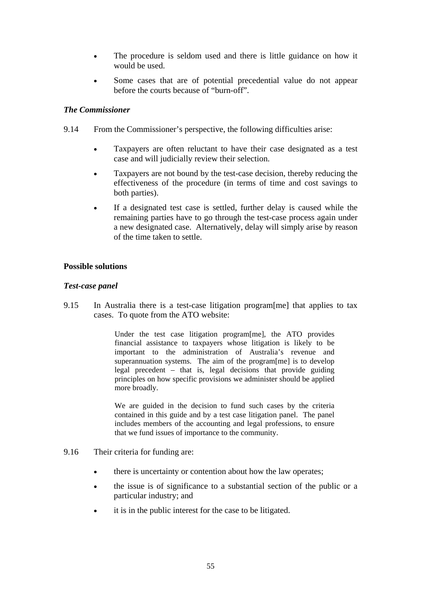- The procedure is seldom used and there is little guidance on how it would be used.
- Some cases that are of potential precedential value do not appear before the courts because of "burn-off".

## *The Commissioner*

- 9.14 From the Commissioner's perspective, the following difficulties arise:
	- Taxpayers are often reluctant to have their case designated as a test case and will judicially review their selection.
	- Taxpayers are not bound by the test-case decision, thereby reducing the effectiveness of the procedure (in terms of time and cost savings to both parties).
	- If a designated test case is settled, further delay is caused while the remaining parties have to go through the test-case process again under a new designated case. Alternatively, delay will simply arise by reason of the time taken to settle.

#### **Possible solutions**

#### *Test-case panel*

9.15 In Australia there is a test-case litigation program[me] that applies to tax cases. To quote from the ATO website:

> Under the test case litigation program[me], the ATO provides financial assistance to taxpayers whose litigation is likely to be important to the administration of Australia's revenue and superannuation systems. The aim of the program[me] is to develop legal precedent – that is, legal decisions that provide guiding principles on how specific provisions we administer should be applied more broadly.

> We are guided in the decision to fund such cases by the criteria contained in this guide and by a test case litigation panel. The panel includes members of the accounting and legal professions, to ensure that we fund issues of importance to the community.

- 9.16 Their criteria for funding are:
	- there is uncertainty or contention about how the law operates:
	- the issue is of significance to a substantial section of the public or a particular industry; and
	- it is in the public interest for the case to be litigated.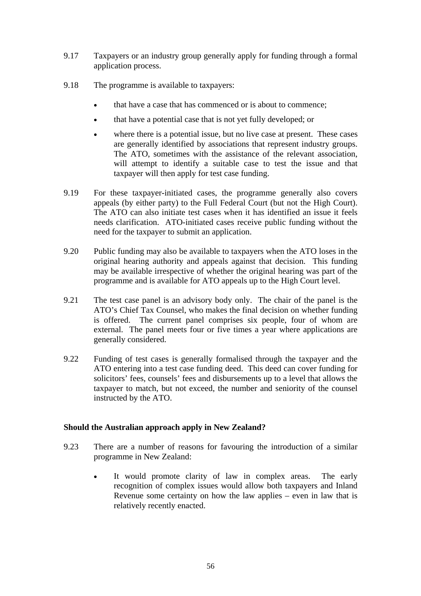- 9.17 Taxpayers or an industry group generally apply for funding through a formal application process.
- 9.18 The programme is available to taxpayers:
	- that have a case that has commenced or is about to commence;
	- that have a potential case that is not yet fully developed; or
	- where there is a potential issue, but no live case at present. These cases are generally identified by associations that represent industry groups. The ATO, sometimes with the assistance of the relevant association, will attempt to identify a suitable case to test the issue and that taxpayer will then apply for test case funding.
- 9.19 For these taxpayer-initiated cases, the programme generally also covers appeals (by either party) to the Full Federal Court (but not the High Court). The ATO can also initiate test cases when it has identified an issue it feels needs clarification. ATO-initiated cases receive public funding without the need for the taxpayer to submit an application.
- 9.20 Public funding may also be available to taxpayers when the ATO loses in the original hearing authority and appeals against that decision. This funding may be available irrespective of whether the original hearing was part of the programme and is available for ATO appeals up to the High Court level.
- 9.21 The test case panel is an advisory body only. The chair of the panel is the ATO's Chief Tax Counsel, who makes the final decision on whether funding is offered. The current panel comprises six people, four of whom are external. The panel meets four or five times a year where applications are generally considered.
- 9.22 Funding of test cases is generally formalised through the taxpayer and the ATO entering into a test case funding deed. This deed can cover funding for solicitors' fees, counsels' fees and disbursements up to a level that allows the taxpayer to match, but not exceed, the number and seniority of the counsel instructed by the ATO.

#### **Should the Australian approach apply in New Zealand?**

- 9.23 There are a number of reasons for favouring the introduction of a similar programme in New Zealand:
	- It would promote clarity of law in complex areas. The early recognition of complex issues would allow both taxpayers and Inland Revenue some certainty on how the law applies – even in law that is relatively recently enacted.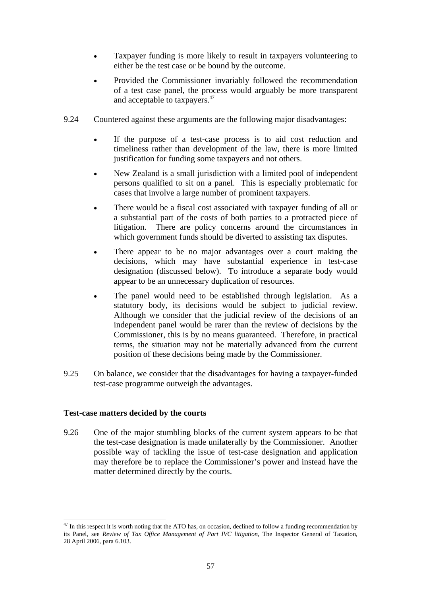- Taxpayer funding is more likely to result in taxpayers volunteering to either be the test case or be bound by the outcome.
- Provided the Commissioner invariably followed the recommendation of a test case panel, the process would arguably be more transparent and acceptable to taxpayers.47
- 9.24 Countered against these arguments are the following major disadvantages:
	- If the purpose of a test-case process is to aid cost reduction and timeliness rather than development of the law, there is more limited justification for funding some taxpayers and not others.
	- New Zealand is a small jurisdiction with a limited pool of independent persons qualified to sit on a panel. This is especially problematic for cases that involve a large number of prominent taxpayers.
	- There would be a fiscal cost associated with taxpayer funding of all or a substantial part of the costs of both parties to a protracted piece of litigation. There are policy concerns around the circumstances in which government funds should be diverted to assisting tax disputes.
	- There appear to be no major advantages over a court making the decisions, which may have substantial experience in test-case designation (discussed below). To introduce a separate body would appear to be an unnecessary duplication of resources.
	- The panel would need to be established through legislation. As a statutory body, its decisions would be subject to judicial review. Although we consider that the judicial review of the decisions of an independent panel would be rarer than the review of decisions by the Commissioner, this is by no means guaranteed. Therefore, in practical terms, the situation may not be materially advanced from the current position of these decisions being made by the Commissioner.
- 9.25 On balance, we consider that the disadvantages for having a taxpayer-funded test-case programme outweigh the advantages.

#### **Test-case matters decided by the courts**

9.26 One of the major stumbling blocks of the current system appears to be that the test-case designation is made unilaterally by the Commissioner. Another possible way of tackling the issue of test-case designation and application may therefore be to replace the Commissioner's power and instead have the matter determined directly by the courts.

 $\overline{a}$  $^{47}$  In this respect it is worth noting that the ATO has, on occasion, declined to follow a funding recommendation by its Panel, see *Review of Tax Office Management of Part IVC litigation*, The Inspector General of Taxation, 28 April 2006, para 6.103.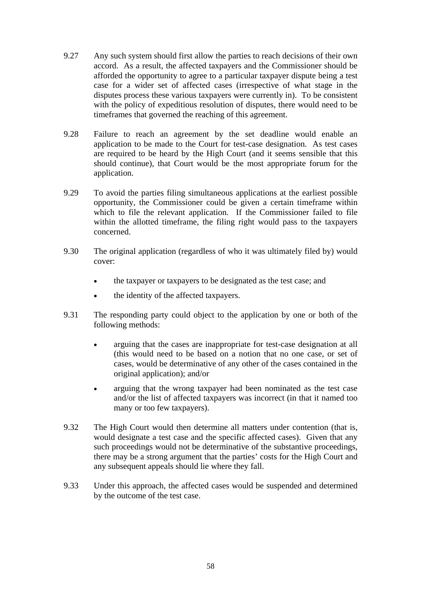- 9.27 Any such system should first allow the parties to reach decisions of their own accord. As a result, the affected taxpayers and the Commissioner should be afforded the opportunity to agree to a particular taxpayer dispute being a test case for a wider set of affected cases (irrespective of what stage in the disputes process these various taxpayers were currently in). To be consistent with the policy of expeditious resolution of disputes, there would need to be timeframes that governed the reaching of this agreement.
- 9.28 Failure to reach an agreement by the set deadline would enable an application to be made to the Court for test-case designation. As test cases are required to be heard by the High Court (and it seems sensible that this should continue), that Court would be the most appropriate forum for the application.
- 9.29 To avoid the parties filing simultaneous applications at the earliest possible opportunity, the Commissioner could be given a certain timeframe within which to file the relevant application. If the Commissioner failed to file within the allotted timeframe, the filing right would pass to the taxpayers concerned.
- 9.30 The original application (regardless of who it was ultimately filed by) would cover:
	- the taxpayer or taxpayers to be designated as the test case; and
	- the identity of the affected taxpayers.
- 9.31 The responding party could object to the application by one or both of the following methods:
	- arguing that the cases are inappropriate for test-case designation at all (this would need to be based on a notion that no one case, or set of cases, would be determinative of any other of the cases contained in the original application); and/or
	- arguing that the wrong taxpayer had been nominated as the test case and/or the list of affected taxpayers was incorrect (in that it named too many or too few taxpayers).
- 9.32 The High Court would then determine all matters under contention (that is, would designate a test case and the specific affected cases). Given that any such proceedings would not be determinative of the substantive proceedings, there may be a strong argument that the parties' costs for the High Court and any subsequent appeals should lie where they fall.
- 9.33 Under this approach, the affected cases would be suspended and determined by the outcome of the test case.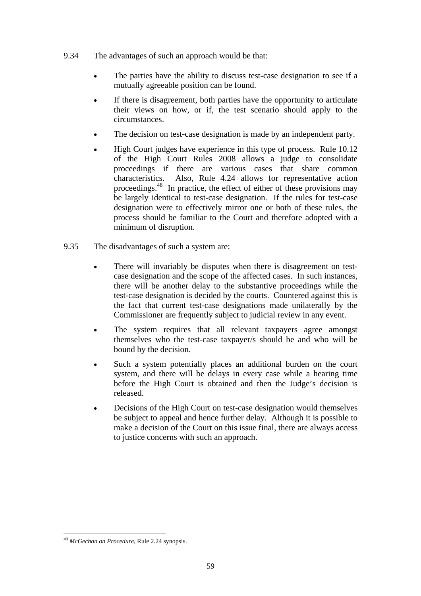- 9.34 The advantages of such an approach would be that:
	- The parties have the ability to discuss test-case designation to see if a mutually agreeable position can be found.
	- If there is disagreement, both parties have the opportunity to articulate their views on how, or if, the test scenario should apply to the circumstances.
	- The decision on test-case designation is made by an independent party.
	- High Court judges have experience in this type of process. Rule 10.12 of the High Court Rules 2008 allows a judge to consolidate proceedings if there are various cases that share common characteristics. Also, Rule 4.24 allows for representative action proceedings.48 In practice, the effect of either of these provisions may be largely identical to test-case designation. If the rules for test-case designation were to effectively mirror one or both of these rules, the process should be familiar to the Court and therefore adopted with a minimum of disruption.
- 9.35 The disadvantages of such a system are:
	- There will invariably be disputes when there is disagreement on testcase designation and the scope of the affected cases. In such instances, there will be another delay to the substantive proceedings while the test-case designation is decided by the courts. Countered against this is the fact that current test-case designations made unilaterally by the Commissioner are frequently subject to judicial review in any event.
	- The system requires that all relevant taxpayers agree amongst themselves who the test-case taxpayer/s should be and who will be bound by the decision.
	- Such a system potentially places an additional burden on the court system, and there will be delays in every case while a hearing time before the High Court is obtained and then the Judge's decision is released.
	- Decisions of the High Court on test-case designation would themselves be subject to appeal and hence further delay. Although it is possible to make a decision of the Court on this issue final, there are always access to justice concerns with such an approach.

<sup>48</sup> *McGechan on Procedure*, Rule 2.24 synopsis.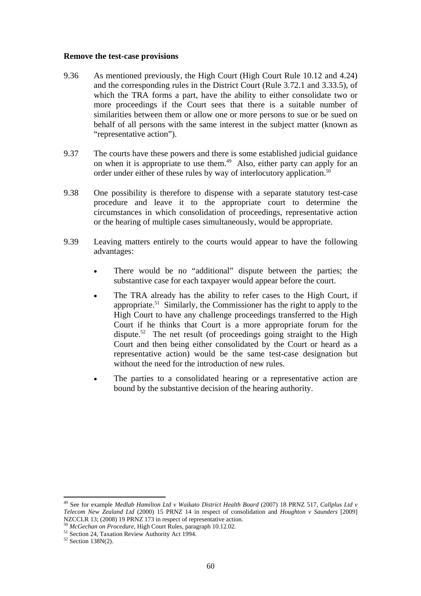#### **Remove the test-case provisions**

- 9.36 As mentioned previously, the High Court (High Court Rule 10.12 and 4.24) and the corresponding rules in the District Court (Rule 3.72.1 and 3.33.5), of which the TRA forms a part, have the ability to either consolidate two or more proceedings if the Court sees that there is a suitable number of similarities between them or allow one or more persons to sue or be sued on behalf of all persons with the same interest in the subject matter (known as "representative action").
- 9.37 The courts have these powers and there is some established judicial guidance on when it is appropriate to use them.<sup>49</sup> Also, either party can apply for an order under either of these rules by way of interlocutory application.<sup>50</sup>
- 9.38 One possibility is therefore to dispense with a separate statutory test-case procedure and leave it to the appropriate court to determine the circumstances in which consolidation of proceedings, representative action or the hearing of multiple cases simultaneously, would be appropriate.
- 9.39 Leaving matters entirely to the courts would appear to have the following advantages:
	- There would be no "additional" dispute between the parties; the substantive case for each taxpayer would appear before the court.
	- The TRA already has the ability to refer cases to the High Court, if appropriate.51 Similarly, the Commissioner has the right to apply to the High Court to have any challenge proceedings transferred to the High Court if he thinks that Court is a more appropriate forum for the dispute.<sup>52</sup> The net result (of proceedings going straight to the High Court and then being either consolidated by the Court or heard as a representative action) would be the same test-case designation but without the need for the introduction of new rules.
	- The parties to a consolidated hearing or a representative action are bound by the substantive decision of the hearing authority.

<sup>&</sup>lt;sup>49</sup> See for example *Medlab Hamilton Ltd v Waikato District Health Board* (2007) 18 PRNZ 517, *Callplus Ltd v Telecom New Zealand Ltd* (2000) 15 PRNZ 14 in respect of consolidation and *Houghton v Saunders* [2009] NZCCLR 13; (2008) 19 PRNZ 173 in respect of representative action.<br><sup>50</sup> *McGechan on Procedure*, High Court Rules, paragraph 10.12.02.<br><sup>51</sup> Section 24, Taxation Review Authority Act 1994.<br><sup>52</sup> Section 138N(2).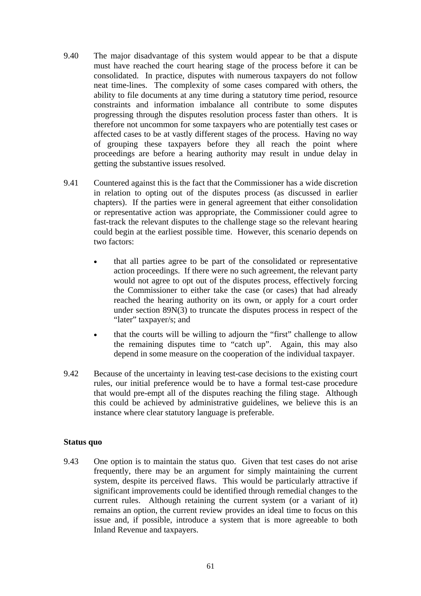- 9.40 The major disadvantage of this system would appear to be that a dispute must have reached the court hearing stage of the process before it can be consolidated. In practice, disputes with numerous taxpayers do not follow neat time-lines. The complexity of some cases compared with others, the ability to file documents at any time during a statutory time period, resource constraints and information imbalance all contribute to some disputes progressing through the disputes resolution process faster than others. It is therefore not uncommon for some taxpayers who are potentially test cases or affected cases to be at vastly different stages of the process. Having no way of grouping these taxpayers before they all reach the point where proceedings are before a hearing authority may result in undue delay in getting the substantive issues resolved.
- 9.41 Countered against this is the fact that the Commissioner has a wide discretion in relation to opting out of the disputes process (as discussed in earlier chapters). If the parties were in general agreement that either consolidation or representative action was appropriate, the Commissioner could agree to fast-track the relevant disputes to the challenge stage so the relevant hearing could begin at the earliest possible time. However, this scenario depends on two factors:
	- that all parties agree to be part of the consolidated or representative action proceedings. If there were no such agreement, the relevant party would not agree to opt out of the disputes process, effectively forcing the Commissioner to either take the case (or cases) that had already reached the hearing authority on its own, or apply for a court order under section 89N(3) to truncate the disputes process in respect of the "later" taxpayer/s; and
	- that the courts will be willing to adjourn the "first" challenge to allow the remaining disputes time to "catch up". Again, this may also depend in some measure on the cooperation of the individual taxpayer.
- 9.42 Because of the uncertainty in leaving test-case decisions to the existing court rules, our initial preference would be to have a formal test-case procedure that would pre-empt all of the disputes reaching the filing stage. Although this could be achieved by administrative guidelines, we believe this is an instance where clear statutory language is preferable.

#### **Status quo**

9.43 One option is to maintain the status quo. Given that test cases do not arise frequently, there may be an argument for simply maintaining the current system, despite its perceived flaws. This would be particularly attractive if significant improvements could be identified through remedial changes to the current rules. Although retaining the current system (or a variant of it) remains an option, the current review provides an ideal time to focus on this issue and, if possible, introduce a system that is more agreeable to both Inland Revenue and taxpayers.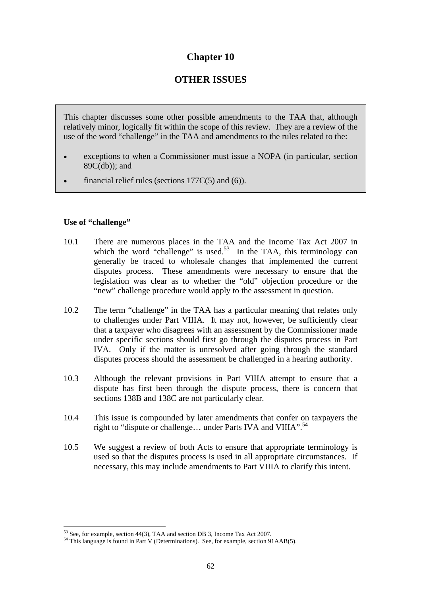## **Chapter 10**

# **OTHER ISSUES**

This chapter discusses some other possible amendments to the TAA that, although relatively minor, logically fit within the scope of this review. They are a review of the use of the word "challenge" in the TAA and amendments to the rules related to the:

- exceptions to when a Commissioner must issue a NOPA (in particular, section 89C(db)); and
- financial relief rules (sections  $177C(5)$  and (6)).

## **Use of "challenge"**

- 10.1 There are numerous places in the TAA and the Income Tax Act 2007 in which the word "challenge" is used.<sup>53</sup> In the TAA, this terminology can generally be traced to wholesale changes that implemented the current disputes process. These amendments were necessary to ensure that the legislation was clear as to whether the "old" objection procedure or the "new" challenge procedure would apply to the assessment in question.
- 10.2 The term "challenge" in the TAA has a particular meaning that relates only to challenges under Part VIIIA. It may not, however, be sufficiently clear that a taxpayer who disagrees with an assessment by the Commissioner made under specific sections should first go through the disputes process in Part IVA. Only if the matter is unresolved after going through the standard disputes process should the assessment be challenged in a hearing authority.
- 10.3 Although the relevant provisions in Part VIIIA attempt to ensure that a dispute has first been through the dispute process, there is concern that sections 138B and 138C are not particularly clear.
- 10.4 This issue is compounded by later amendments that confer on taxpayers the right to "dispute or challenge... under Parts IVA and VIIIA".<sup>54</sup>
- 10.5 We suggest a review of both Acts to ensure that appropriate terminology is used so that the disputes process is used in all appropriate circumstances. If necessary, this may include amendments to Part VIIIA to clarify this intent.

 $\overline{a}$ <sup>53</sup> See, for example, section 44(3), TAA and section DB 3, Income Tax Act 2007.<br><sup>54</sup> This language is found in Part V (Determinations). See, for example, section 91AAB(5).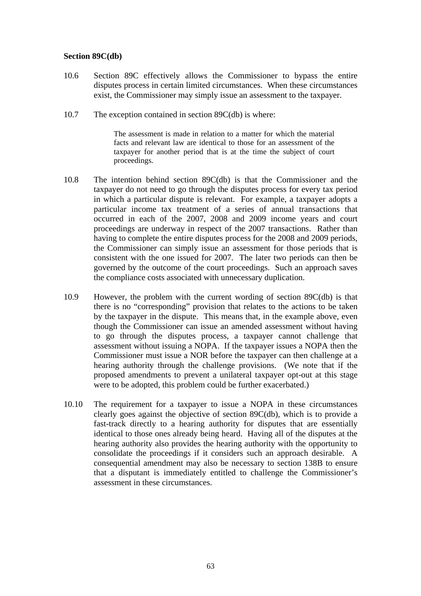#### **Section 89C(db)**

- 10.6 Section 89C effectively allows the Commissioner to bypass the entire disputes process in certain limited circumstances. When these circumstances exist, the Commissioner may simply issue an assessment to the taxpayer.
- 10.7 The exception contained in section 89C(db) is where:

The assessment is made in relation to a matter for which the material facts and relevant law are identical to those for an assessment of the taxpayer for another period that is at the time the subject of court proceedings.

- 10.8 The intention behind section 89C(db) is that the Commissioner and the taxpayer do not need to go through the disputes process for every tax period in which a particular dispute is relevant. For example, a taxpayer adopts a particular income tax treatment of a series of annual transactions that occurred in each of the 2007, 2008 and 2009 income years and court proceedings are underway in respect of the 2007 transactions. Rather than having to complete the entire disputes process for the 2008 and 2009 periods, the Commissioner can simply issue an assessment for those periods that is consistent with the one issued for 2007. The later two periods can then be governed by the outcome of the court proceedings. Such an approach saves the compliance costs associated with unnecessary duplication.
- 10.9 However, the problem with the current wording of section 89C(db) is that there is no "corresponding" provision that relates to the actions to be taken by the taxpayer in the dispute. This means that, in the example above, even though the Commissioner can issue an amended assessment without having to go through the disputes process, a taxpayer cannot challenge that assessment without issuing a NOPA. If the taxpayer issues a NOPA then the Commissioner must issue a NOR before the taxpayer can then challenge at a hearing authority through the challenge provisions. (We note that if the proposed amendments to prevent a unilateral taxpayer opt-out at this stage were to be adopted, this problem could be further exacerbated.)
- 10.10 The requirement for a taxpayer to issue a NOPA in these circumstances clearly goes against the objective of section 89C(db), which is to provide a fast-track directly to a hearing authority for disputes that are essentially identical to those ones already being heard. Having all of the disputes at the hearing authority also provides the hearing authority with the opportunity to consolidate the proceedings if it considers such an approach desirable. A consequential amendment may also be necessary to section 138B to ensure that a disputant is immediately entitled to challenge the Commissioner's assessment in these circumstances.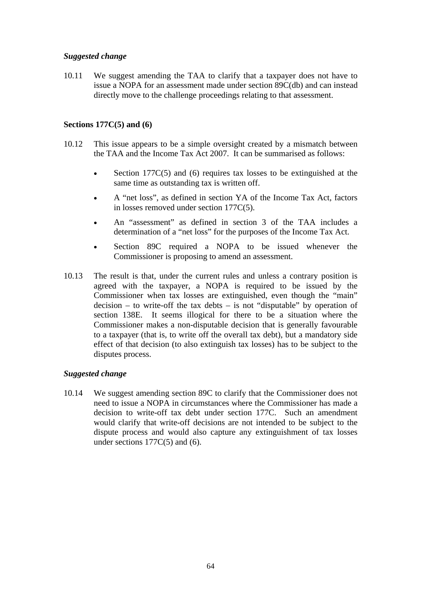## *Suggested change*

10.11 We suggest amending the TAA to clarify that a taxpayer does not have to issue a NOPA for an assessment made under section 89C(db) and can instead directly move to the challenge proceedings relating to that assessment.

### **Sections 177C(5) and (6)**

- 10.12 This issue appears to be a simple oversight created by a mismatch between the TAA and the Income Tax Act 2007. It can be summarised as follows:
	- Section 177 $C(5)$  and (6) requires tax losses to be extinguished at the same time as outstanding tax is written off.
	- A "net loss", as defined in section YA of the Income Tax Act, factors in losses removed under section 177C(5).
	- An "assessment" as defined in section 3 of the TAA includes a determination of a "net loss" for the purposes of the Income Tax Act.
	- Section 89C required a NOPA to be issued whenever the Commissioner is proposing to amend an assessment.
- 10.13 The result is that, under the current rules and unless a contrary position is agreed with the taxpayer, a NOPA is required to be issued by the Commissioner when tax losses are extinguished, even though the "main" decision – to write-off the tax debts – is not "disputable" by operation of section 138E. It seems illogical for there to be a situation where the Commissioner makes a non-disputable decision that is generally favourable to a taxpayer (that is, to write off the overall tax debt), but a mandatory side effect of that decision (to also extinguish tax losses) has to be subject to the disputes process.

## *Suggested change*

10.14 We suggest amending section 89C to clarify that the Commissioner does not need to issue a NOPA in circumstances where the Commissioner has made a decision to write-off tax debt under section 177C. Such an amendment would clarify that write-off decisions are not intended to be subject to the dispute process and would also capture any extinguishment of tax losses under sections  $177C(5)$  and (6).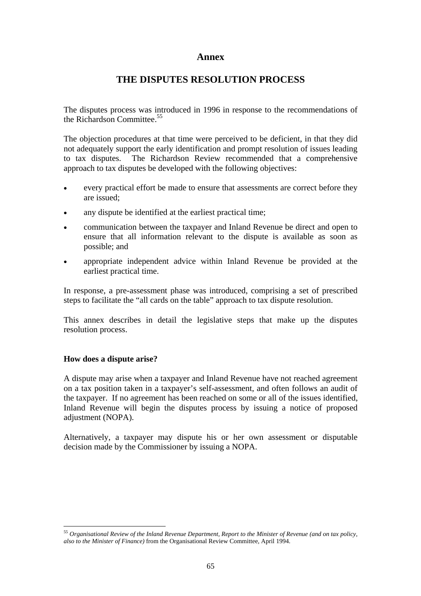## **Annex**

## **THE DISPUTES RESOLUTION PROCESS**

The disputes process was introduced in 1996 in response to the recommendations of the Richardson Committee.<sup>55</sup>

The objection procedures at that time were perceived to be deficient, in that they did not adequately support the early identification and prompt resolution of issues leading to tax disputes. The Richardson Review recommended that a comprehensive approach to tax disputes be developed with the following objectives:

- every practical effort be made to ensure that assessments are correct before they are issued;
- any dispute be identified at the earliest practical time;
- communication between the taxpayer and Inland Revenue be direct and open to ensure that all information relevant to the dispute is available as soon as possible; and
- appropriate independent advice within Inland Revenue be provided at the earliest practical time.

In response, a pre-assessment phase was introduced, comprising a set of prescribed steps to facilitate the "all cards on the table" approach to tax dispute resolution.

This annex describes in detail the legislative steps that make up the disputes resolution process.

#### **How does a dispute arise?**

 $\overline{a}$ 

A dispute may arise when a taxpayer and Inland Revenue have not reached agreement on a tax position taken in a taxpayer's self-assessment, and often follows an audit of the taxpayer. If no agreement has been reached on some or all of the issues identified, Inland Revenue will begin the disputes process by issuing a notice of proposed adjustment (NOPA).

Alternatively, a taxpayer may dispute his or her own assessment or disputable decision made by the Commissioner by issuing a NOPA.

<sup>55</sup> *Organisational Review of the Inland Revenue Department, Report to the Minister of Revenue (and on tax policy, also to the Minister of Finance)* from the Organisational Review Committee, April 1994.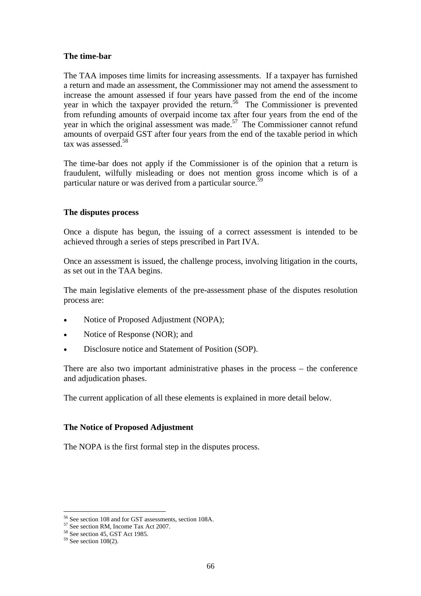#### **The time-bar**

The TAA imposes time limits for increasing assessments. If a taxpayer has furnished a return and made an assessment, the Commissioner may not amend the assessment to increase the amount assessed if four years have passed from the end of the income year in which the taxpayer provided the return.<sup>56</sup> The Commissioner is prevented from refunding amounts of overpaid income tax after four years from the end of the year in which the original assessment was made.<sup>57</sup> The Commissioner cannot refund amounts of overpaid GST after four years from the end of the taxable period in which tax was assessed.<sup>58</sup>

The time-bar does not apply if the Commissioner is of the opinion that a return is fraudulent, wilfully misleading or does not mention gross income which is of a particular nature or was derived from a particular source.<sup>59</sup>

#### **The disputes process**

Once a dispute has begun, the issuing of a correct assessment is intended to be achieved through a series of steps prescribed in Part IVA.

Once an assessment is issued, the challenge process, involving litigation in the courts, as set out in the TAA begins.

The main legislative elements of the pre-assessment phase of the disputes resolution process are:

- Notice of Proposed Adjustment (NOPA);
- Notice of Response (NOR); and
- Disclosure notice and Statement of Position (SOP).

There are also two important administrative phases in the process – the conference and adjudication phases.

The current application of all these elements is explained in more detail below.

#### **The Notice of Proposed Adjustment**

The NOPA is the first formal step in the disputes process.

<sup>&</sup>lt;sup>56</sup> See section 108 and for GST assessments, section 108A.<br><sup>57</sup> See section RM, Income Tax Act 2007.<br><sup>58</sup> See section 45, GST Act 1985.

 $59$  See section 108(2).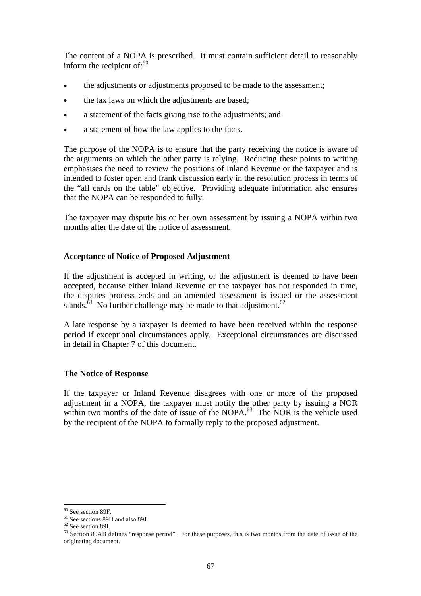The content of a NOPA is prescribed. It must contain sufficient detail to reasonably inform the recipient of: $60$ 

- the adjustments or adjustments proposed to be made to the assessment;
- the tax laws on which the adjustments are based;
- a statement of the facts giving rise to the adjustments; and
- a statement of how the law applies to the facts.

The purpose of the NOPA is to ensure that the party receiving the notice is aware of the arguments on which the other party is relying. Reducing these points to writing emphasises the need to review the positions of Inland Revenue or the taxpayer and is intended to foster open and frank discussion early in the resolution process in terms of the "all cards on the table" objective. Providing adequate information also ensures that the NOPA can be responded to fully.

The taxpayer may dispute his or her own assessment by issuing a NOPA within two months after the date of the notice of assessment.

#### **Acceptance of Notice of Proposed Adjustment**

If the adjustment is accepted in writing, or the adjustment is deemed to have been accepted, because either Inland Revenue or the taxpayer has not responded in time, the disputes process ends and an amended assessment is issued or the assessment stands.<sup>61</sup> No further challenge may be made to that adjustment.<sup>62</sup>

A late response by a taxpayer is deemed to have been received within the response period if exceptional circumstances apply. Exceptional circumstances are discussed in detail in Chapter 7 of this document.

#### **The Notice of Response**

If the taxpayer or Inland Revenue disagrees with one or more of the proposed adjustment in a NOPA, the taxpayer must notify the other party by issuing a NOR within two months of the date of issue of the NOPA. $^{63}$  The NOR is the vehicle used by the recipient of the NOPA to formally reply to the proposed adjustment.

<sup>60</sup> See section 89F.

<sup>61</sup> See sections 89H and also 89J.

 $62$  See section 89I.

<sup>&</sup>lt;sup>63</sup> Section 89AB defines "response period". For these purposes, this is two months from the date of issue of the originating document.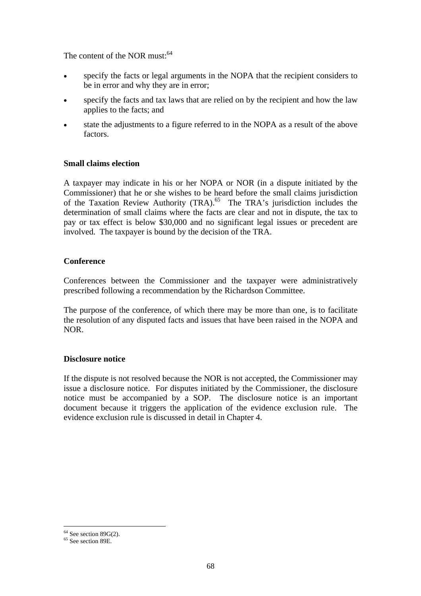The content of the NOR must:<sup>64</sup>

- specify the facts or legal arguments in the NOPA that the recipient considers to be in error and why they are in error;
- specify the facts and tax laws that are relied on by the recipient and how the law applies to the facts; and
- state the adjustments to a figure referred to in the NOPA as a result of the above factors.

## **Small claims election**

A taxpayer may indicate in his or her NOPA or NOR (in a dispute initiated by the Commissioner) that he or she wishes to be heard before the small claims jurisdiction of the Taxation Review Authority (TRA).<sup>65</sup> The TRA's jurisdiction includes the determination of small claims where the facts are clear and not in dispute, the tax to pay or tax effect is below \$30,000 and no significant legal issues or precedent are involved. The taxpayer is bound by the decision of the TRA.

#### **Conference**

Conferences between the Commissioner and the taxpayer were administratively prescribed following a recommendation by the Richardson Committee.

The purpose of the conference, of which there may be more than one, is to facilitate the resolution of any disputed facts and issues that have been raised in the NOPA and NOR.

#### **Disclosure notice**

If the dispute is not resolved because the NOR is not accepted, the Commissioner may issue a disclosure notice. For disputes initiated by the Commissioner, the disclosure notice must be accompanied by a SOP. The disclosure notice is an important document because it triggers the application of the evidence exclusion rule. The evidence exclusion rule is discussed in detail in Chapter 4.

 $\overline{a}$  $64$  See section 89G(2).

<sup>&</sup>lt;sup>65</sup> See section 89E.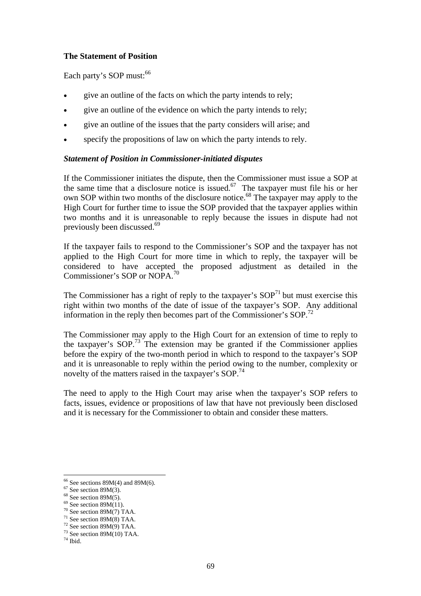# **The Statement of Position**

Each party's SOP must:<sup>66</sup>

- give an outline of the facts on which the party intends to rely;
- give an outline of the evidence on which the party intends to rely;
- give an outline of the issues that the party considers will arise; and
- specify the propositions of law on which the party intends to rely.

# *Statement of Position in Commissioner-initiated disputes*

If the Commissioner initiates the dispute, then the Commissioner must issue a SOP at the same time that a disclosure notice is issued.<sup>67</sup> The taxpayer must file his or her own SOP within two months of the disclosure notice.<sup>68</sup> The taxpayer may apply to the High Court for further time to issue the SOP provided that the taxpayer applies within two months and it is unreasonable to reply because the issues in dispute had not previously been discussed.<sup>69</sup>

If the taxpayer fails to respond to the Commissioner's SOP and the taxpayer has not applied to the High Court for more time in which to reply, the taxpayer will be considered to have accepted the proposed adjustment as detailed in the Commissioner's SOP or NOPA.<sup>70</sup>

The Commissioner has a right of reply to the taxpayer's  $SOP<sup>71</sup>$  but must exercise this right within two months of the date of issue of the taxpayer's SOP. Any additional information in the reply then becomes part of the Commissioner's  $SOP<sup>72</sup>$ 

The Commissioner may apply to the High Court for an extension of time to reply to the taxpayer's  $SOP<sup>73</sup>$ . The extension may be granted if the Commissioner applies before the expiry of the two-month period in which to respond to the taxpayer's SOP and it is unreasonable to reply within the period owing to the number, complexity or novelty of the matters raised in the taxpayer's  $SOP<sup>74</sup>$ .

The need to apply to the High Court may arise when the taxpayer's SOP refers to facts, issues, evidence or propositions of law that have not previously been disclosed and it is necessary for the Commissioner to obtain and consider these matters.

- $69$  See section 89M(11).
- $70$  See section 89M(7) TAA.

 $\overline{a}$ 

 $66$  See sections 89M(4) and 89M(6).

 $67$  See section 89M(3).

 $68$  See section 89M(5).

 $71$  See section 89M(8) TAA.  $72$  See section 89M(9) TAA.

 $73$  See section 89M(10) TAA.

 $74$  Ibid.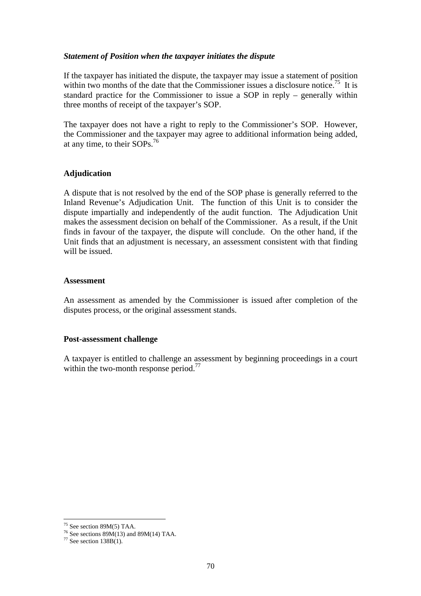### *Statement of Position when the taxpayer initiates the dispute*

If the taxpayer has initiated the dispute, the taxpayer may issue a statement of position within two months of the date that the Commissioner issues a disclosure notice.<sup>75</sup> It is standard practice for the Commissioner to issue a SOP in reply – generally within three months of receipt of the taxpayer's SOP.

The taxpayer does not have a right to reply to the Commissioner's SOP. However, the Commissioner and the taxpayer may agree to additional information being added, at any time, to their SOPs.76

## **Adjudication**

A dispute that is not resolved by the end of the SOP phase is generally referred to the Inland Revenue's Adjudication Unit. The function of this Unit is to consider the dispute impartially and independently of the audit function. The Adjudication Unit makes the assessment decision on behalf of the Commissioner. As a result, if the Unit finds in favour of the taxpayer, the dispute will conclude. On the other hand, if the Unit finds that an adjustment is necessary, an assessment consistent with that finding will be issued.

### **Assessment**

An assessment as amended by the Commissioner is issued after completion of the disputes process, or the original assessment stands.

### **Post-assessment challenge**

A taxpayer is entitled to challenge an assessment by beginning proceedings in a court within the two-month response period.<sup>77</sup>

 $\overline{a}$ 

<sup>75</sup> See section 89M(5) TAA.

<sup>&</sup>lt;sup>76</sup> See sections  $89M(13)$  and  $89M(14)$  TAA.

 $77$  See section 138B(1).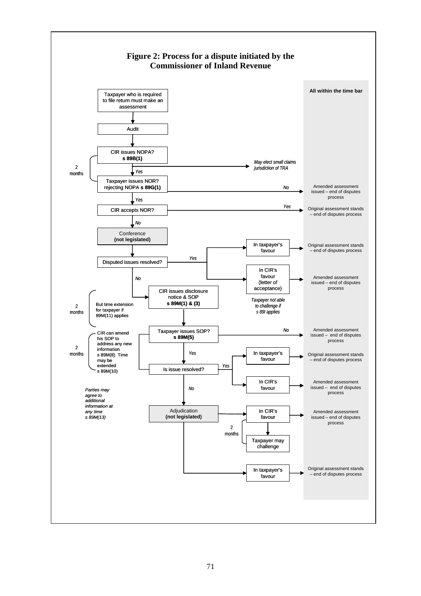